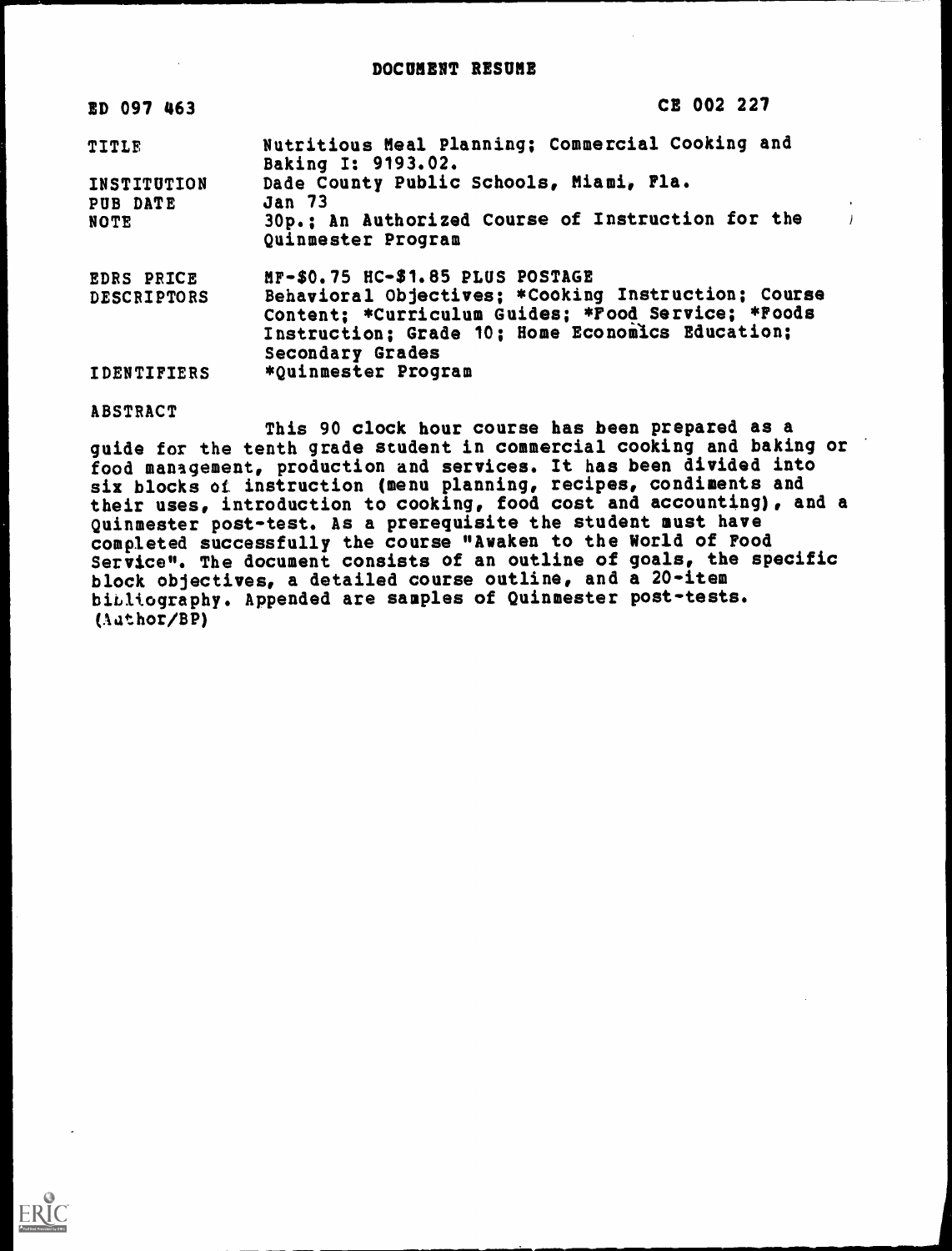| ED 097 463         | CE 002 227                                                                                                                                                                        |
|--------------------|-----------------------------------------------------------------------------------------------------------------------------------------------------------------------------------|
| TITLE              | Nutritious Meal Planning; Commercial Cooking and<br>Baking I: 9193.02.                                                                                                            |
| INSTITUTION        | Dade County Public Schools, Miami, Fla.                                                                                                                                           |
| PUB DATE           | <b>Jan 73</b>                                                                                                                                                                     |
| <b>NOTE</b>        | 30p.; An Authorized Course of Instruction for the<br>Quinmester Program                                                                                                           |
| <b>EDRS PRICE</b>  | MF-\$0.75 HC-\$1.85 PLUS POSTAGE                                                                                                                                                  |
| <b>DESCRIPTORS</b> | Behavioral Objectives; *Cooking Instruction; Course<br>Content; *Curriculum Guides; *Food Service; *Foods<br>Instruction; Grade 10; Home Economics Education;<br>Secondary Grades |
| <b>IDENTIFIERS</b> | *Quinmester Program                                                                                                                                                               |

ABSTRACT

This 90 clock hour course has been prepared as a guide for the tenth grade student in commercial cooking and baking or food management, production and services. It has been divided into six blocks of instruction (menu planning, recipes, condiments and their uses, introduction to cooking, food cost and accounting), and a Quinmester post-test. As a prerequisite the student must have completed successfully the course "Awaken to the World of Food Service". The document consists of an outline of goals, the specific block objectives, a detailed course outline, and a 20-item bibliography. Appended are samples of Quinmester post-tests. (Aathor/BP)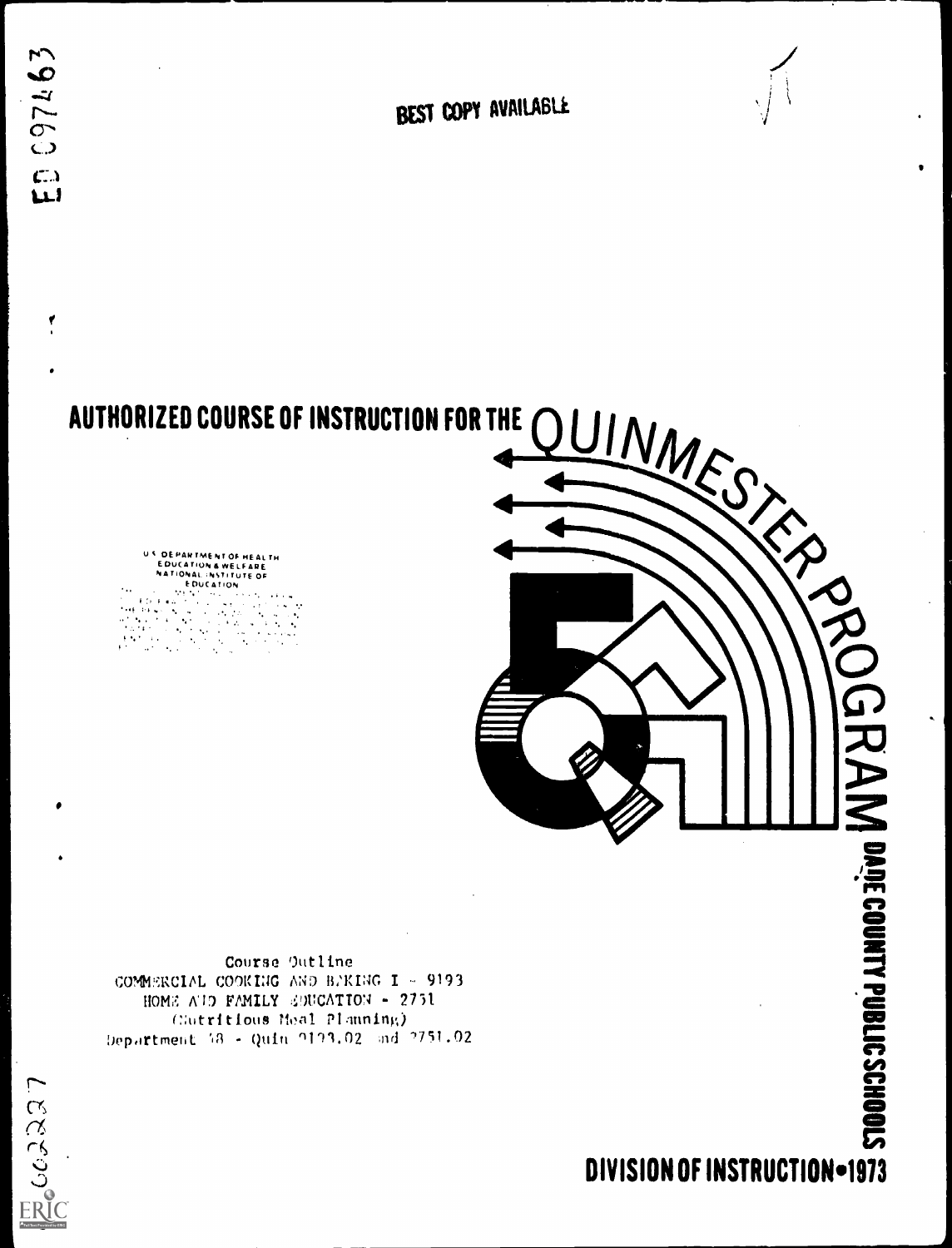۷

BEST COPY AVAILABLE

U <sup>C</sup> DE PARTMENT OF HEAL TH<br>EDUCATION & WELFARE<br>NATIONALNSTITUTE OF<br>EDUCATION

 $\mathbf{A}_{\mathbf{A}}$  .



Course Outline COMMERCIAL COOKING AND BAKING I - 9193 HOME AUD FAMILY SUUCATION - 2751 C:utritious Meal Planning) Department 18 - Quin 0103.02 and 0751.02

DIVISION OF INSTRUCTION-1973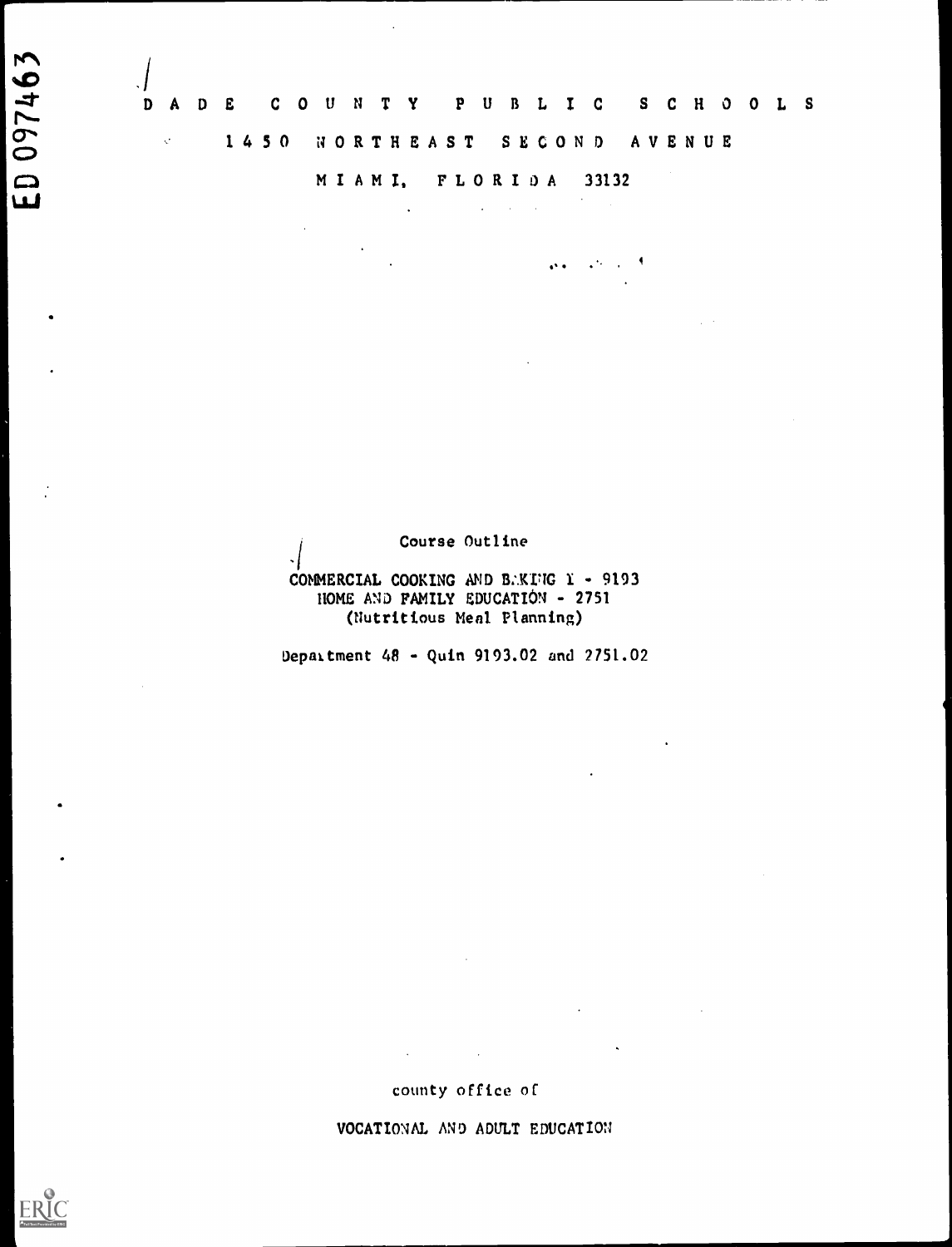.1DADE COUNTY PUBLIC SCHOOLS  $\mathcal{R}^{(n)}$  . 1 4 5 0 NORTHEAST SECOND AVENUE

# MIAMI, FLORIDA <sup>33132</sup>

 $\epsilon_{\rm{max}}$  $\mathcal{L}^{\text{max}}_{\text{max}}$  and  $\mathcal{L}^{\text{max}}_{\text{max}}$  and  $\mathcal{L}^{\text{max}}_{\text{max}}$  $\mathcal{L}_{\text{max}}$  $\mathbf{a} \cdot \mathbf{a} = \mathbf{a} \cdot \mathbf{a} \cdot \mathbf{a}$ 

Course Outline

- 1

# COMMERCIAL COOKING AND BAKING I - 9193 HOME AND FAMILY EDUCATION - 2751 (Nutritious Meal Planning)

Department 48 - Quin 9193.02 and 2751.02

county office of

 $\mathcal{L}(\mathcal{A})$  and  $\mathcal{L}(\mathcal{A})$  and  $\mathcal{L}(\mathcal{A})$ 

VOCATIONAL AND ADULT EDUCATION



ED 097463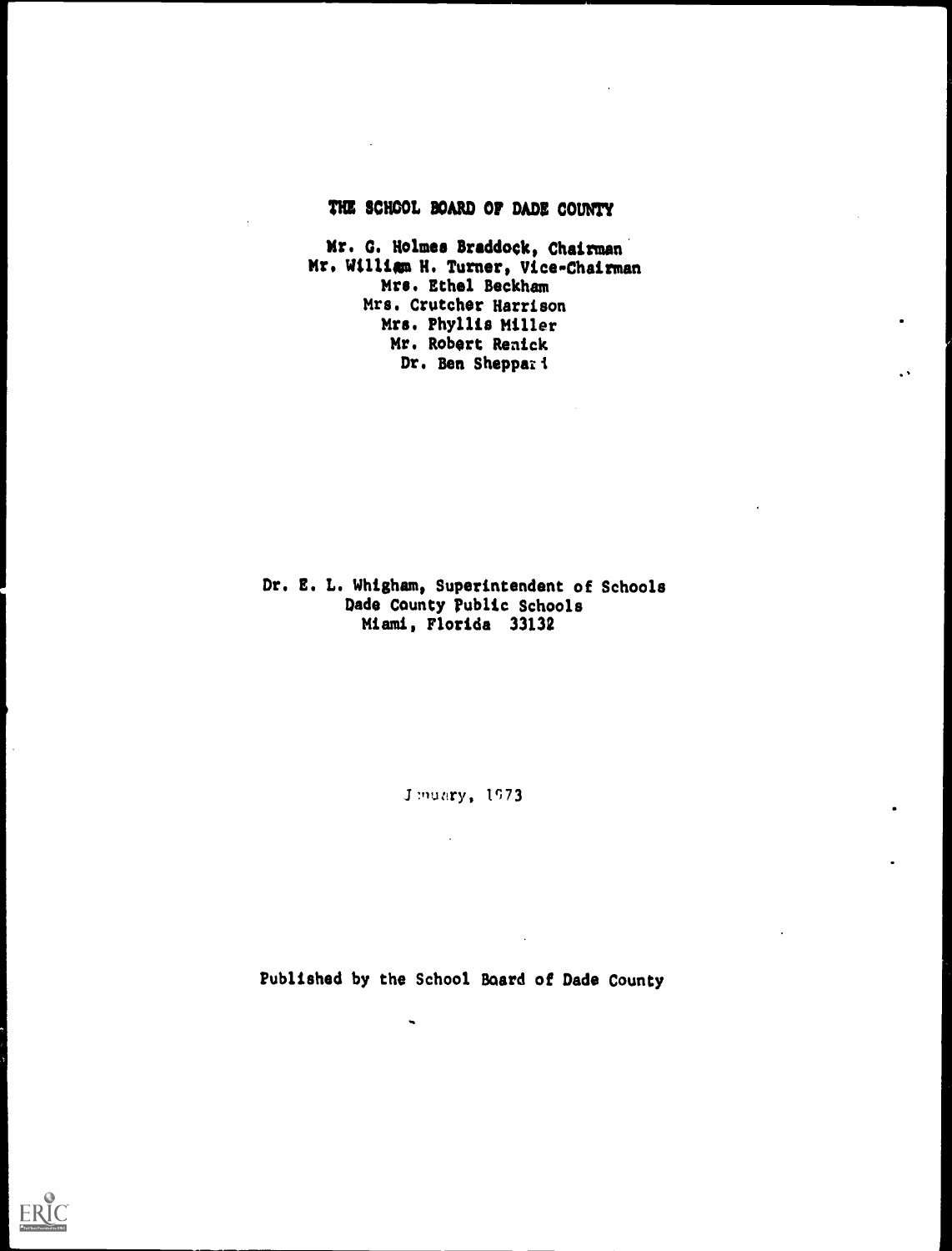# THE SCHOOL BOARD Of DADE COUNTY

Mr. G. Holmes Braddock, Chairman Mr. William H. Turner, Vice-Chairman Mrs. Ethel Beckham Mrs. Crutcher Harrison Mrs. Phyllis Miller Mr. Robert Renick Dr. Ben Sheppar<sup>1</sup>

# Dr. E. L. Whigham, Superintendent of Schools Dade County Public Schools Miami, Florida 33132

J.muary, 1973.

Published by the School Board of Dade County

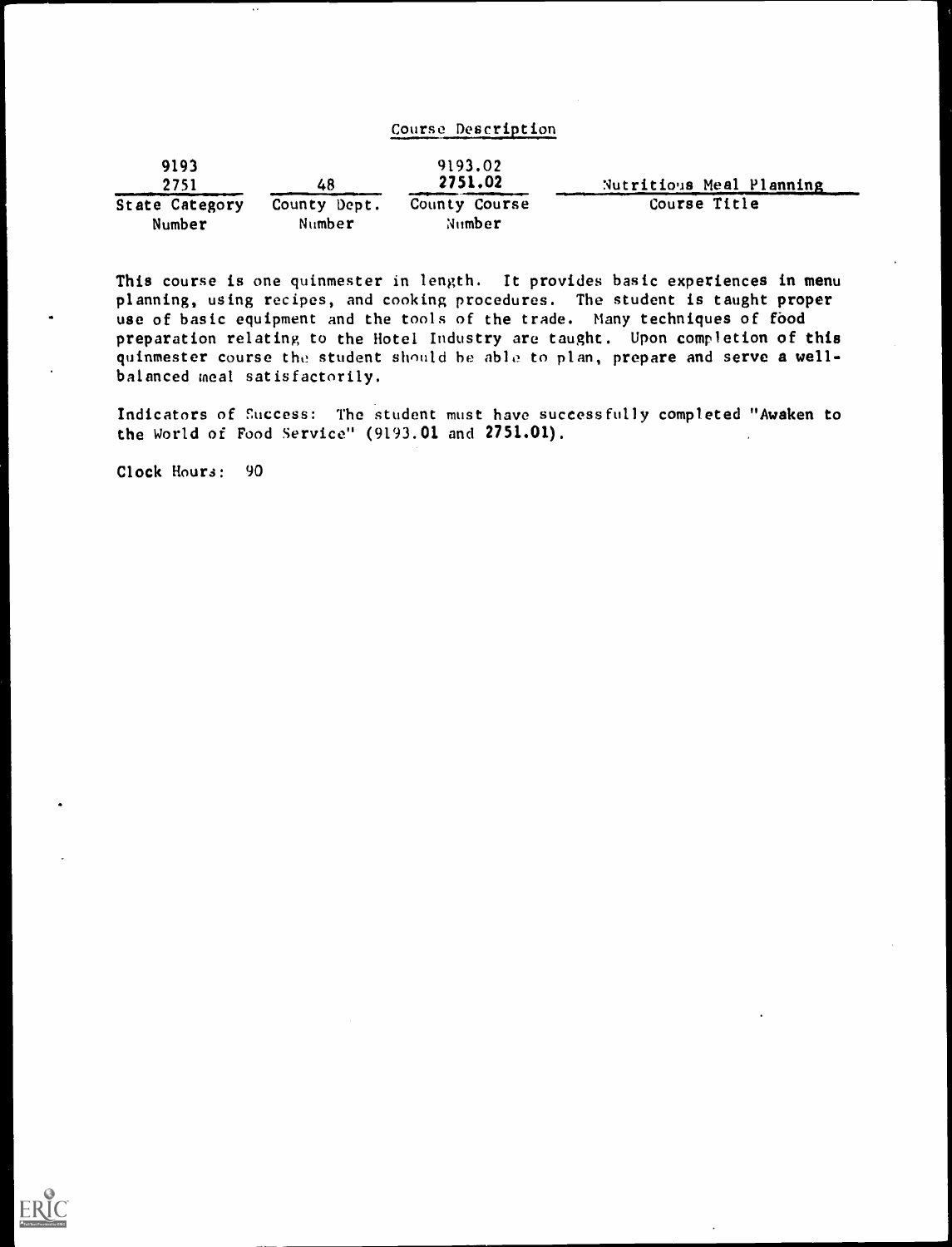| Course Description |  |  |
|--------------------|--|--|
|                    |  |  |

| 9193<br>2751   | 48           | 9193.02<br>2751.02 | Nutritious Meal Planning |
|----------------|--------------|--------------------|--------------------------|
| State Category | County Dept. | County Course      | Course Title             |
| Number         | Number       | Number             |                          |

This course is one quinmester in length. It provides basic experiences in menu planning, using recipes, and cooking procedures. The student is taught proper use of basic equipment and the tools of the trade. Many techniques of food preparation relating to the Hotel Industry are taught. Upon completion of this quinmester course the student should be able to plan, prepare and serve a wellbalanced meal satisfactorily.

Indicators of Success: The student must have successfully completed "Awaken to the World of Food Service" (9193.01 and 2751.01).

Clock Hours: 90

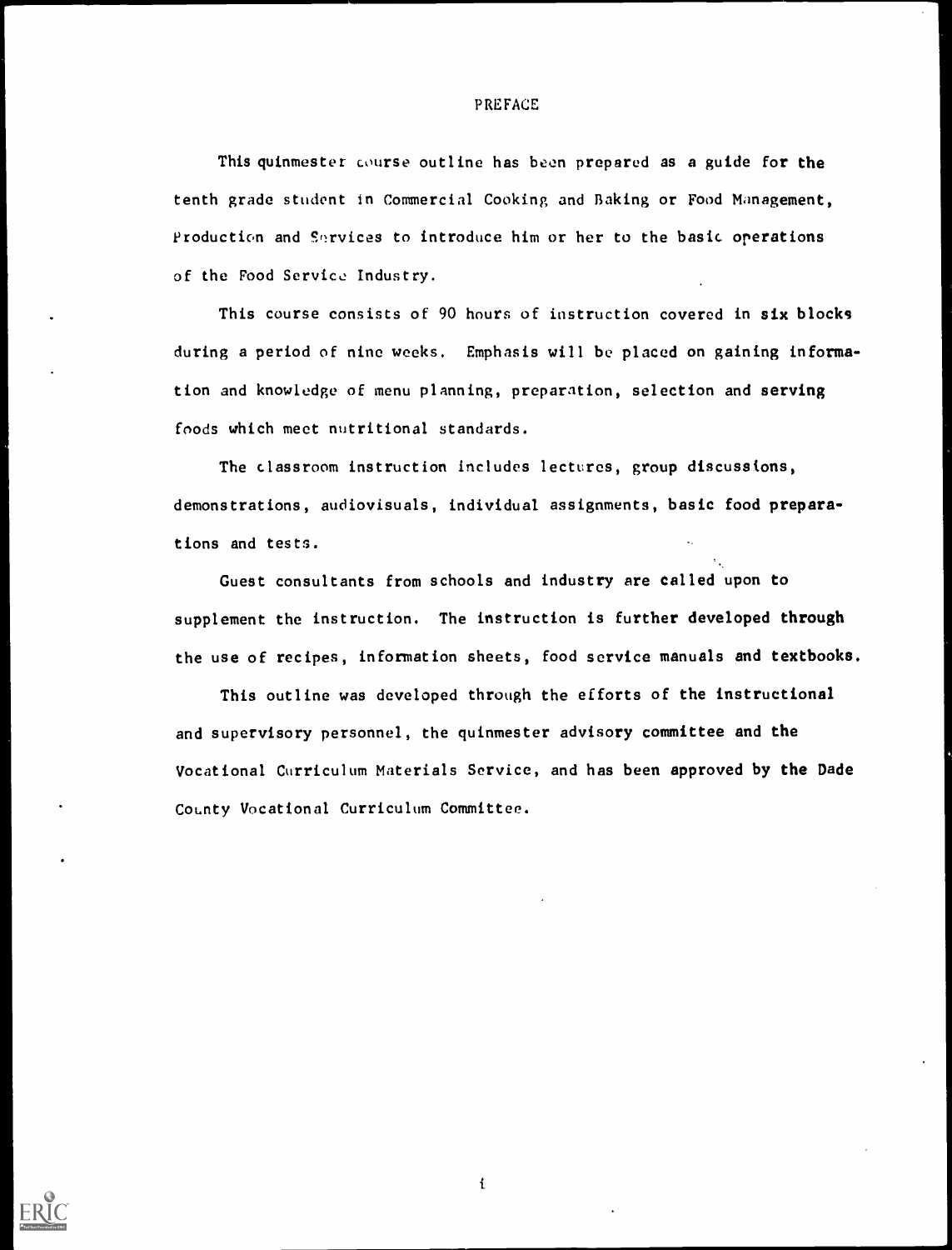#### PREFACE

This quinmester course outline has been prepared as a guide for the tenth grade student in Commercial Cooking and Baking or Food Management, Production and Services to introduce him or her to the basic operations of the Food Service Industry.

This course consists of 90 hours of instruction covered in six blocks during a period of nine weeks. Emphasis will be placed on gaining information and knowledge of menu planning, preparation, selection and serving foods which meet nutritional standards.

The classroom instruction includes lectures, group discussions, demonstrations, audiovisuals, individual assignments, basic food preparations and tests.

Guest consultants from schools and industry are called upon to supplement the instruction. The instruction is further developed through the use of recipes, information sheets, food service manuals and textbooks.

This outline was developed through the efforts of the instructional and supervisory personnel, the quinmester advisory committee and the Vocational Curriculum Materials Service, and has been approved by the Dade County Vocational Curriculum Committee.



 $\mathbf i$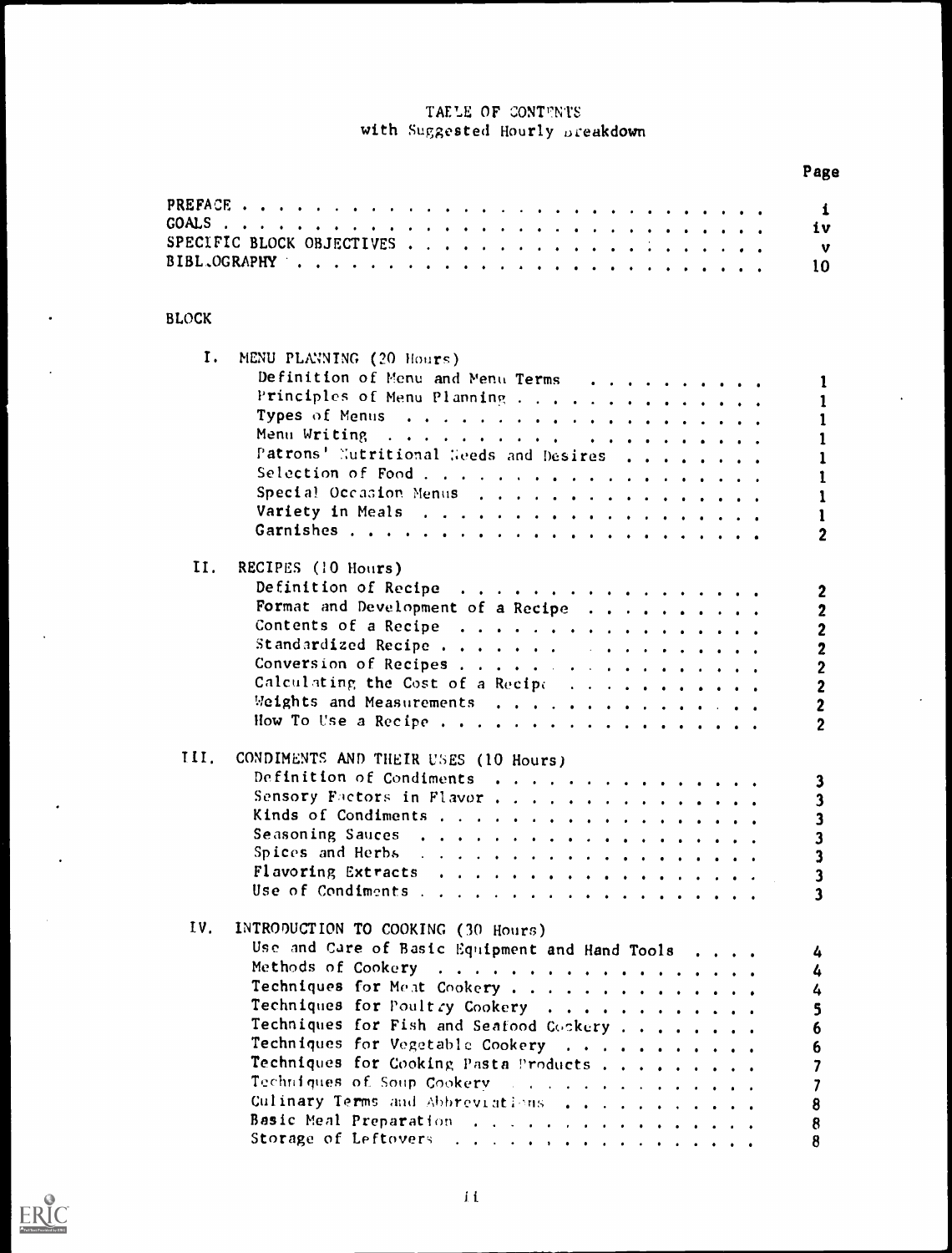# TAELE OF CONTENTS with Suggested Hourly breakdown

|                                                | Page                                        |
|------------------------------------------------|---------------------------------------------|
|                                                | $\mathbf i$                                 |
|                                                | iv                                          |
|                                                | $\mathbf{v}$                                |
|                                                | 10                                          |
|                                                |                                             |
| <b>BLOCK</b>                                   |                                             |
| Ι.                                             |                                             |
| MENU PLANNING (20 Hours)                       |                                             |
| Definition of Menu and Menu Terms              | 1                                           |
| Principles of Menu Planning                    | 1                                           |
|                                                | $\mathbf{1}$                                |
|                                                | 1                                           |
| Patrons' Nutritional Geeds and Desires         | $\mathbf{1}$                                |
| Selection of Food                              | 1                                           |
| Special Occasion Menus                         | 1                                           |
|                                                | $\mathbf{1}$                                |
|                                                | $\mathbf{2}$                                |
| II.<br>RECIPES (10 Hours)                      |                                             |
| Definition of Recipe                           |                                             |
| Format and Development of a Recipe             | $\boldsymbol{2}$<br>$\overline{\mathbf{2}}$ |
| Contents of a Recipe                           | $\overline{\mathbf{2}}$                     |
| Standardized Recipe                            |                                             |
| Conversion of Recipes                          | $\overline{\mathbf{2}}$                     |
| Calculating the Cost of a Recipe               | $\frac{2}{2}$                               |
| Meights and Measurements                       |                                             |
|                                                | $\mathbf 2$<br>$\overline{2}$               |
| How To Use a Recipe                            |                                             |
| III.<br>CONDIMENTS AND THEIR USES (10 Hours)   |                                             |
| Definition of Condiments                       | 3                                           |
| Sensory Factors in Flavor,                     | 3                                           |
|                                                | 3                                           |
|                                                | 3                                           |
|                                                | $\overline{\mathbf{3}}$                     |
|                                                | $\overline{\mathbf{3}}$                     |
|                                                | 3                                           |
|                                                |                                             |
| IV.<br>INTRODUCTION TO COOKING (30 Hours)      |                                             |
| Use and Care of Basic Equipment and Hand Tools | 4                                           |
| Methods of Cookery                             | 4                                           |
| Techniques for Meat Cookery                    | 4                                           |
| Techniques for Poultry Cookery                 | 5                                           |
| Techniques for Fish and Seafood Cockery        | 6                                           |
| Techniques for Vegetable Cookery               | 6                                           |
| Techniques for Cooking Pasta Products          |                                             |
|                                                | 7                                           |
| Culinary Terms and Abbreviations               | 8                                           |
| Basic Meal Preparation                         | 8                                           |
| Storage of Leftovers                           | 8                                           |

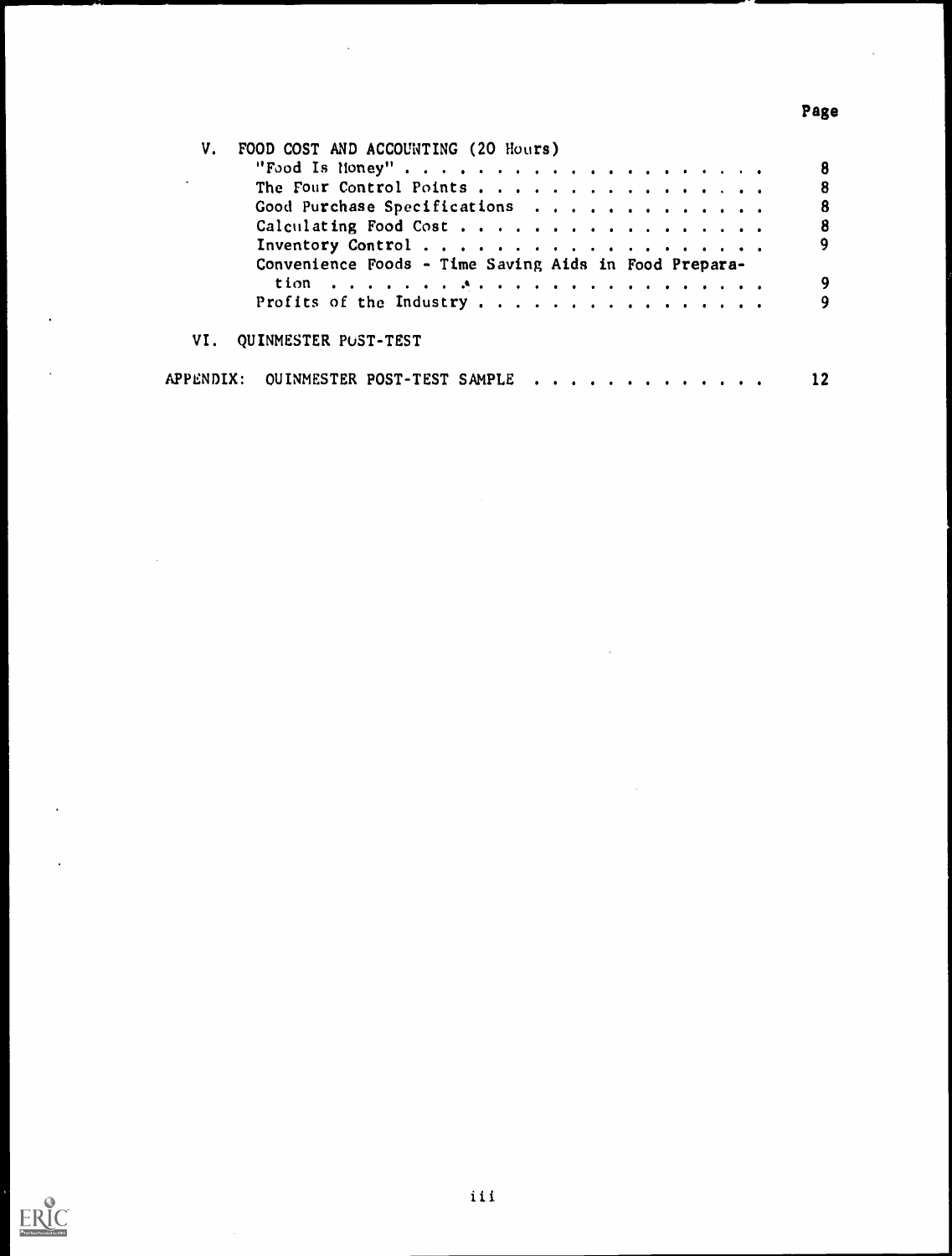# Page

 $\ddot{\phantom{a}}$ 

| V. | FOOD COST AND ACCOUNTING (20 Hours)                   |  |
|----|-------------------------------------------------------|--|
|    | "Food Is Noney"                                       |  |
|    | The Four Control Points<br>8                          |  |
|    | Good Purchase Specifications<br>8                     |  |
|    | Calculating Food Cost                                 |  |
|    | 9                                                     |  |
|    | Convenience Foods - Time Saving Aids in Food Prepara- |  |
|    | 9                                                     |  |
|    | Profits of the Industry                               |  |
|    | VI. QUINMESTER POST-TEST                              |  |
|    | APPENDIX: OUINMESTER POST-TEST SAMPLE                 |  |

 $\ddot{\phantom{a}}$ 

 $\ddot{\phantom{0}}$ 

 $\mathbb{R}^2$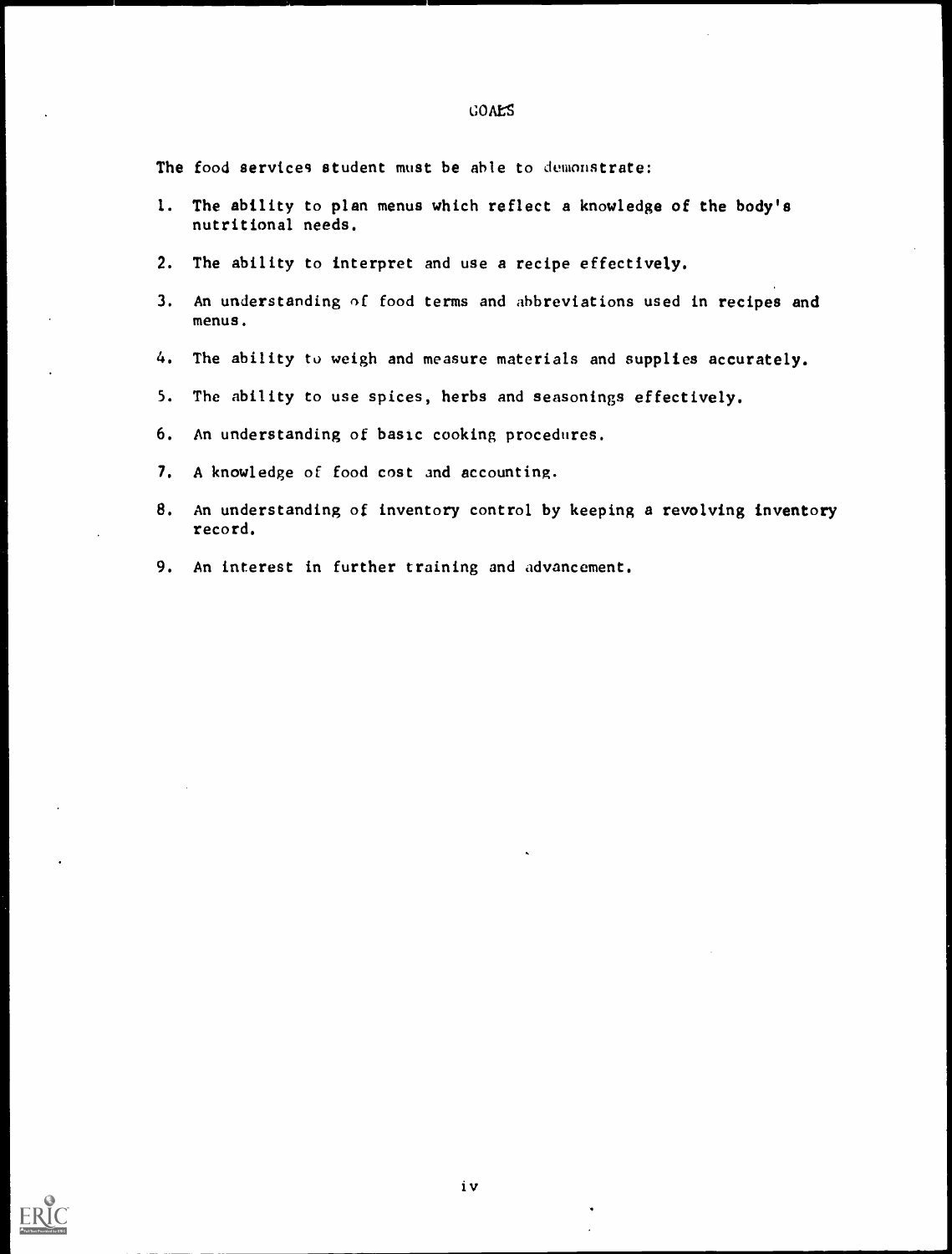|    | The food services student must be able to demonstrate:                                     |
|----|--------------------------------------------------------------------------------------------|
|    | 1. The ability to plan menus which reflect a knowledge of the body's<br>nutritional needs. |
|    | 2. The ability to interpret and use a recipe effectively.                                  |
|    | 3. An understanding of food terms and abbreviations used in recipes and<br>menus.          |
|    | 4. The ability to weigh and measure materials and supplies accurately.                     |
|    | 5. The ability to use spices, herbs and seasonings effectively.                            |
|    | 6. An understanding of basic cooking procedures.                                           |
|    | 7. A knowledge of food cost and accounting.                                                |
| 8. | An understanding of inventory control by keeping a revolving inventory<br>record.          |
|    | 9. An interest in further training and advancement.                                        |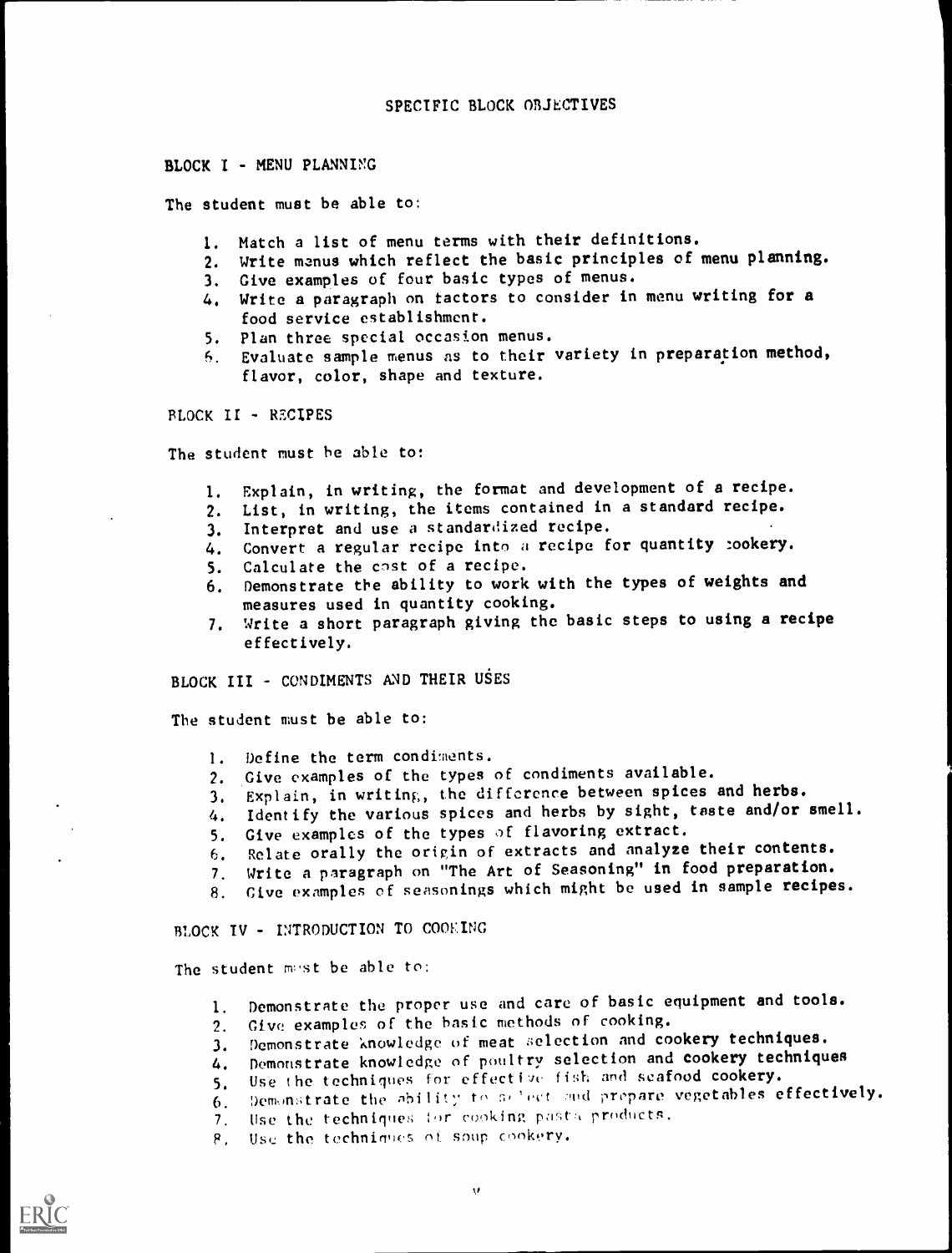#### BLOCK I - MENU PLANNING

The student must be able to:

- I. Match a list of menu terms with their definitions.
- 2. Write manus which reflect the basic principles of menu planning.
- 3. Give examples of four basic types of menus.
- 4. Write a paragraph on tactors to consider in menu writing for a food service establishment.
- 5. Plan three special occasion menus.
- 6. Evaluate sample menus as to their variety in preparation method, flavor, color, shape and texture.

FLOCK II - RECIPES

The student must he able to:

- 1. Explain, in writing, the format and development of a recipe.
- 2. List, in writing, the items contained in a standard recipe.
- 3. Interpret and use a standardized recipe.
- 4. Convert a regular recipe into a recipe for quantity cookery.
- 5. Calculate the cost of a recipe.
- 6. Demonstrate the ability to work with the types of weights and measures used in quantity cooking.
- 7. Write a short paragraph giving the basic steps to using a recipe effectively.

BLOCK III - CONDIMENTS AND THEIR USES

The student must be able to:

- 1. Define the term condiments.
- 2. Give examples of the types of condiments available.
- 3. Explain, in writing), the difference between spices and herbs.
- 4. Identify the various spices and herbs by sight, taste and/or smell.
- 5. Give examples of the types of flavoring extract.
- 6. Relate orally the origin of extracts and analyze their contents.
- 7. Write a paragraph on "The Art of Seasoning" in food preparation.
- 8. Cive examples of seasonings which might be used in sample recipes.

BLOCK IV - INTRODUCTION TO COOKING

The student must be able to:

- I. Demonstrate the proper use and care of basic equipment and tools.
- 2. Give! examples of the basic methods of cooking.
- 3. Demonstrate knowledge of meat selection and cookery techniques.<br>4. Demonstrate knowledge of poultry selection and cookery techniqu
- Demonstrate knowledge of poultry selection and cookery techniques
- 5. Use the techniques for effective fish and seafood cookery.
- 6. Demonstrate the ability to select and propare vegetables effectively.
- 7. Use the techniques (or cooking pasta products.
- 8. Use the techniques of soup cookery.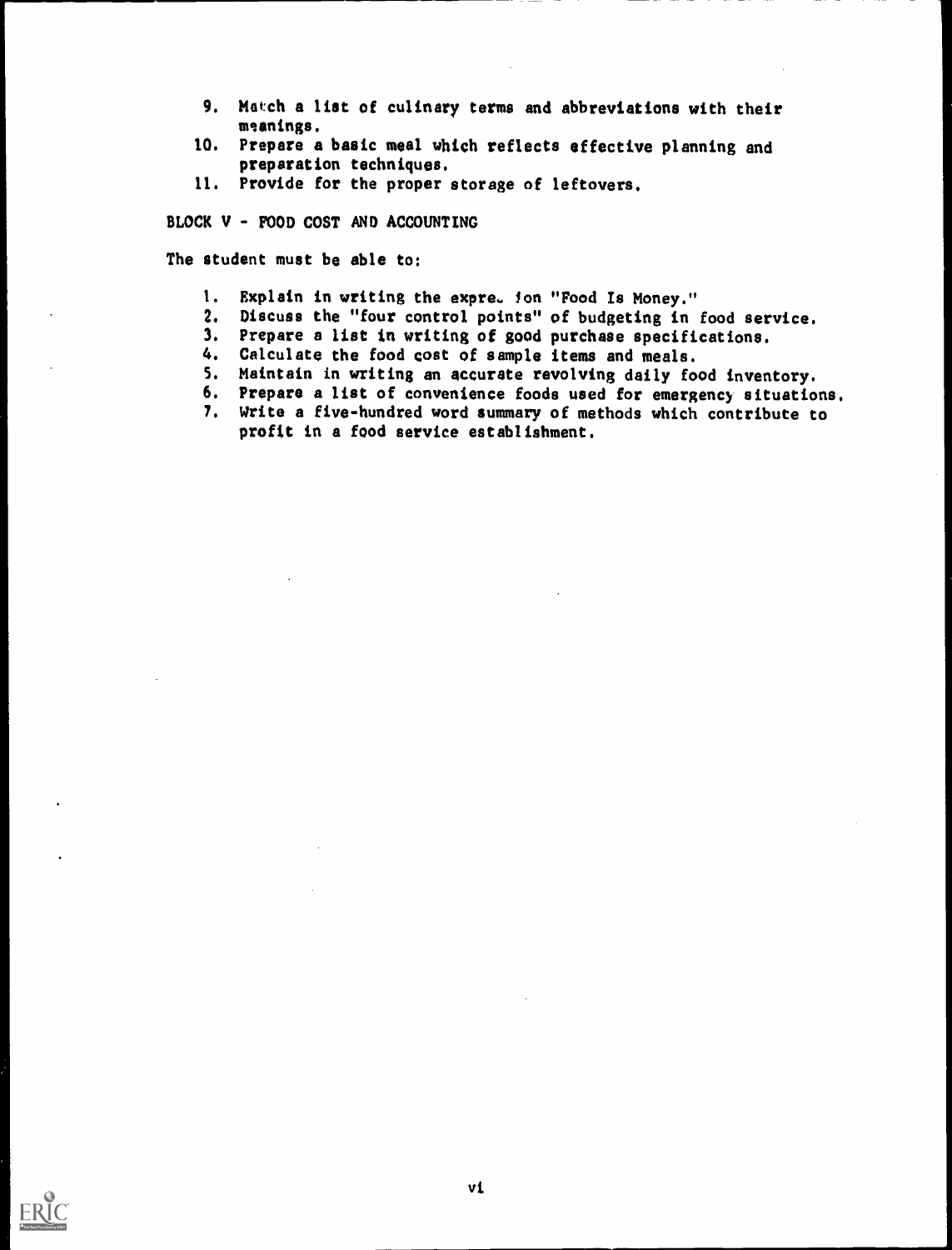- 9. Match a list of culinary terms and abbreviations with their meanings.
- 10. Prepare a basic meal which reflects effective planning and preparation techniques.
- 11. Provide for the proper storage of leftovers.

BLOCK V - FOOD COST AND ACCOUNTING

The student must be able to:

- 1. Explain in writing the expre. Jon "Food Is Money."
- 2. Discuss the "four control points" of budgeting in food service.
- 3. Prepare a list in writing of good purchase specifications.
- 4. Calculate the food cost of sample items and meals.
- S. Maintain in writing an accurate revolving daily food inventory.
- 6. Prepare a list of convenience foods used for emergency situations.
- 7. Write a five-hundred word summary of methods which contribute to profit in a food service establishment.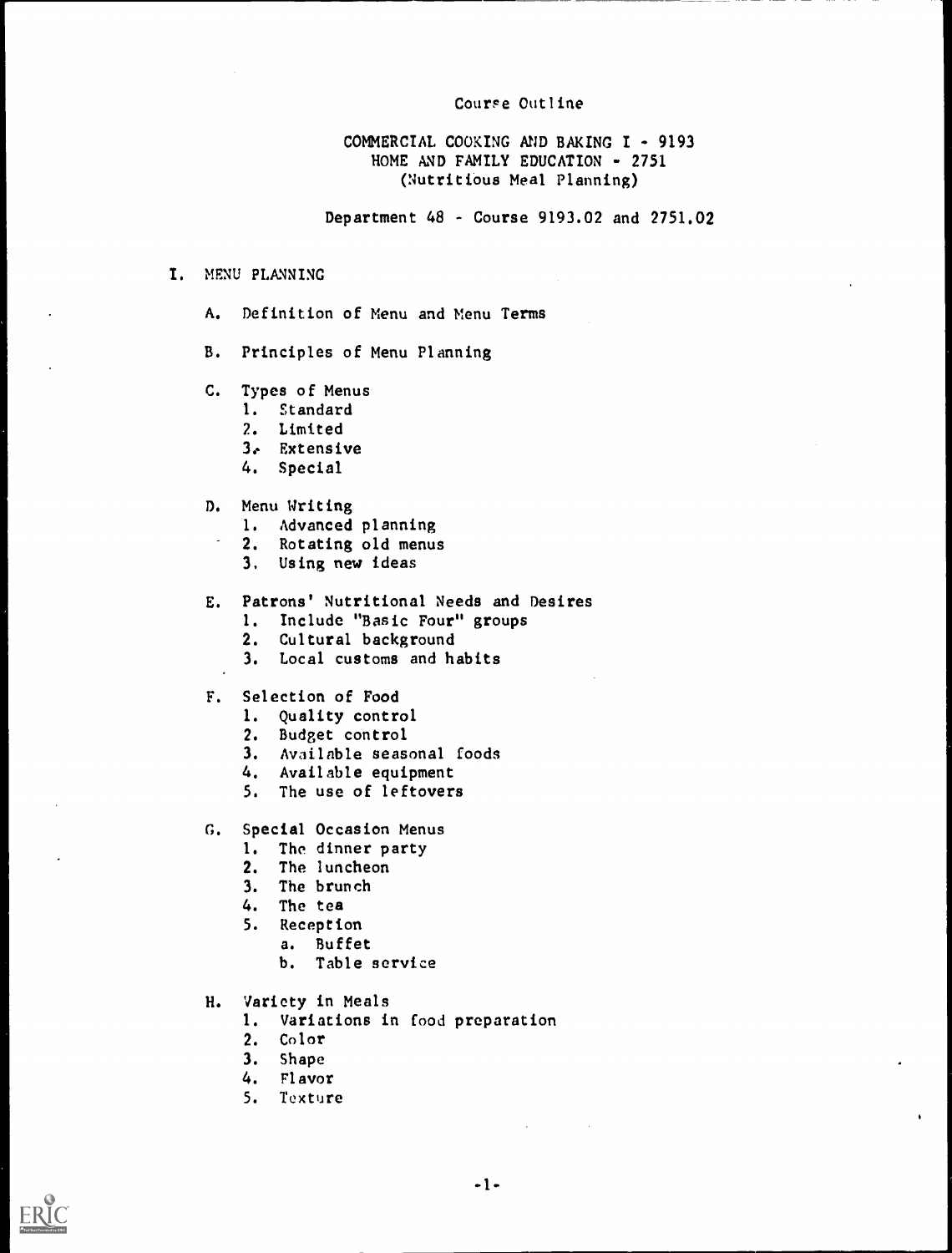#### Course Outline

# COMMERCIAL COOKING AND BAKING I - 9193 HOME AND FAMILY EDUCATION - 2751 (Nutritious Meal Planning)

Department 48 - Course 9193.02 and 2751.02

- I. MENU PLANNING
	- A. Definition of Menu and Menu Terms
	- B. Principles of Menu Planning
	- C. Types of Menus
		- 1. Standard
		- 2. Limited
		- 3e Extensive
		- 4. Special
	- D. Menu Writing
		- 1. Advanced planning
		- 2. Rotating old menus
		- 3, Using new ideas
	- E. Patrons' Nutritional Needs and Desires
		- 1. Include "Basic Four" groups
		- 2. Cultural background
		- 3. Local customs and habits
	- F. Selection of Food
		- 1. Quality control
		- 2. Budget control
		- 3. Available seasonal foods
		- 4. Available equipment
		- 5. The use of leftovers
	- G. Special Occasion Menus
		- I. The dinner party
		- 2. The luncheon
		- 3. The brunch
		- 4. The tea
		- 5. Reception
			- a. Buffet
			- b. Table service
	- H. Variety in Meals
		- 1. Variations in food preparation
		- 2. Color
		- 3. Shape
		- 4. Flavor
		- 5. Texture

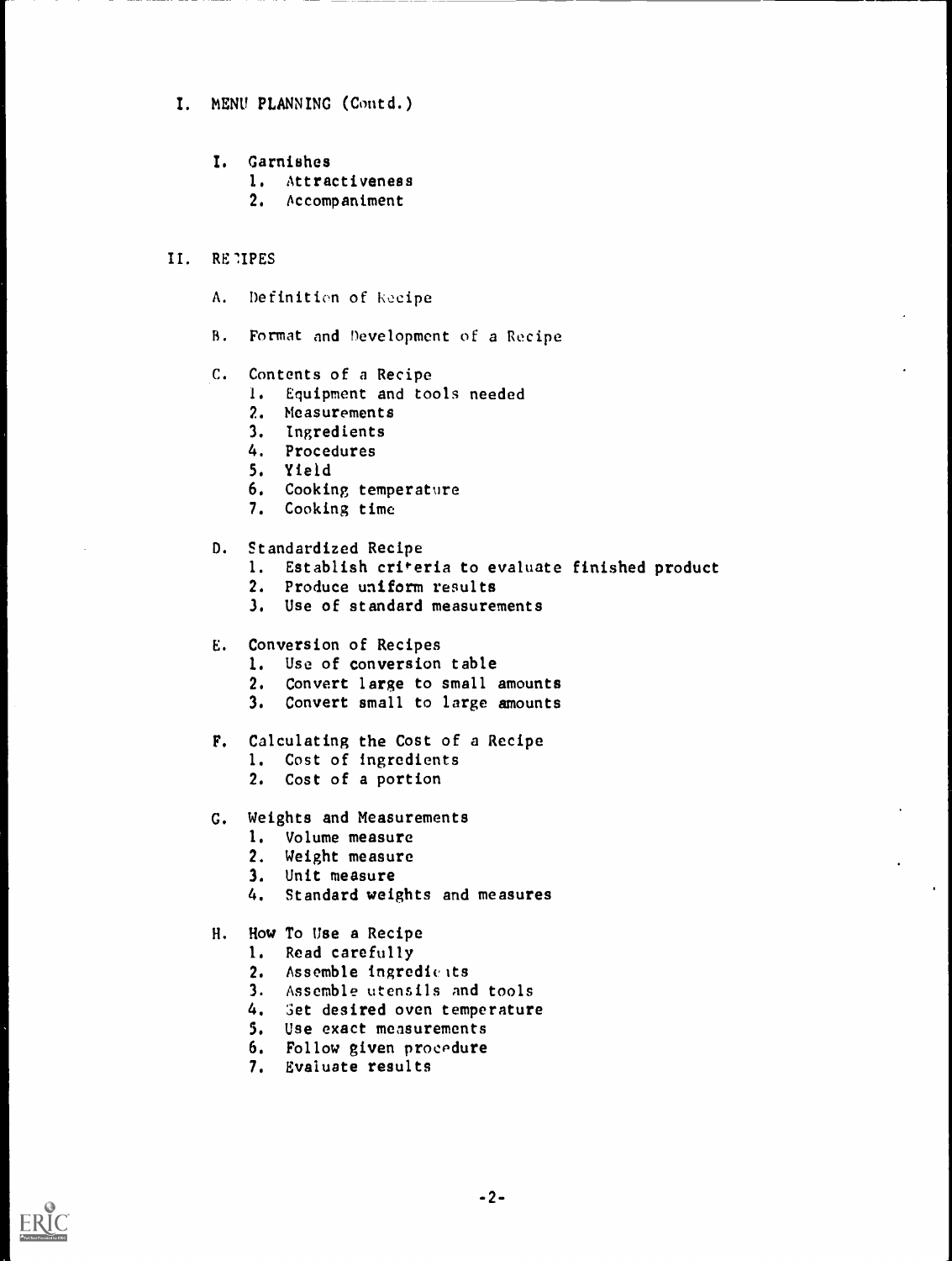- I. MENU PLANNING (Contd.)
	- I. Garnishes
		- 1. Attractiveness
		- 2. Accompaniment

# II. RE1IPES

- A. Definition of kocipe
- R. Format and Development of a Recipe
- C. Contents of a Recipe
	- 1. Equipment and tools needed
	- 2. Measurements
	- 3. Ingredients
	- 4. Procedures
	- 5. Yield
	- 6. Cooking temperature
	- 7. Cooking time
- D. Standardized Recipe
	- 1. Establish criteria to evaluate finished product
	- 2. Produce uniform results
	- 3. Use of standard measurements

#### E. Conversion of Recipes

- 1. Use of conversion table
- 2. Convert large to small amounts
- 3. Convert small to large amounts
- F. Calculating the Cost of a Recipe
	- 1. Cost of ingredients
	- 2. Cost of a portion
- G. Weights and Measurements
	- 1. Volume measure
	- 2. Weight measure
	- 3. Unit measure
	- 4. Standard weights and measures

# H. How To Use a Recipe

- 1. Read carefully
- 2. Assemble ingredients
- 3. Assemble utensils and tools
- 4. Set desired oven temperature
- 5. Use exact measurements
- 6. Follow given procpdure
- 7. Evaluate results

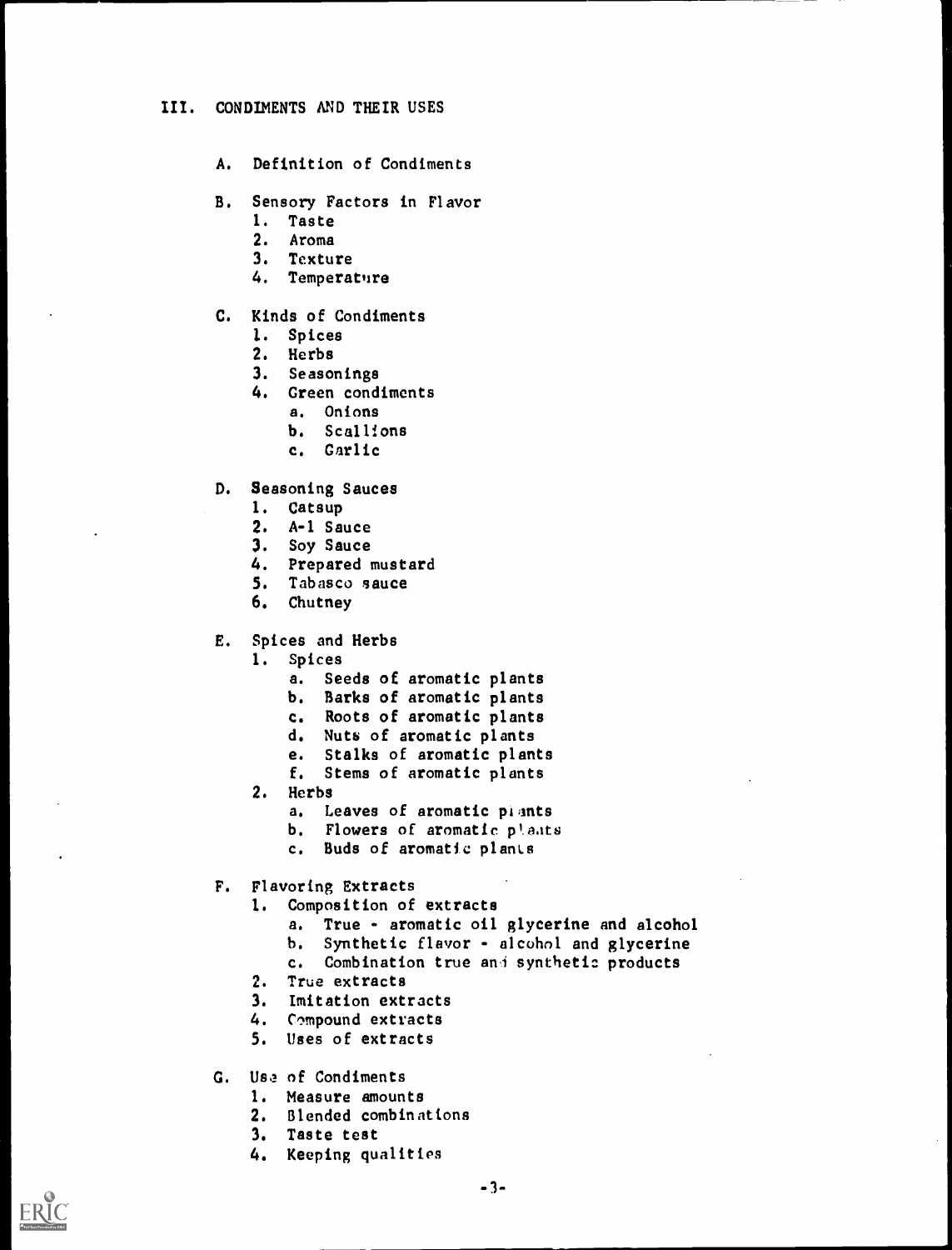#### III. CONDIMENTS AND THEIR USES

- A. Definition of Condiments
- B. Sensory Factors in Flavor
	- 1. Taste
	- 2. Aroma
	- 3. Texture
	- 4. Temperature

# C. Kinds of Condiments

- 1. Spices
- 2. Herbs<br>3. Season
- Seasonings
- 4. Green condiments
	- a. Onions
	- b. Scallions
	- c. Garlic
- D. Seasoning Sauces
	- 1. Catsup
	- 2. A-1 Sauce
	- 3. Soy Sauce
	- 4. Prepared mustard
	- 5. Tabasco sauce
	- 6. Chutney
- E. Spices and Herbs
	- 1. Spices
		- a. Seeds of aromatic plants
		- b. Barks of aromatic plants
		- c. Roots of aromatic plants
		- d. Nuts of aromatic plants
		- e. Stalks of aromatic plants
		- f. Stems of aromatic plants
	- 2. Herbs
		- a. Leaves of aromatic plants
		- b. Flowers of aromatic plants
		- c. Buds of aromatic plants
- F. Flavoring Extracts
	- 1. Composition of extracts
		- a. True aromatic oil glycerine and alcohol
		- b. Synthetic flavor alcohol and glycerine
		- c. Combination true and synthetic products
	- 2. True extracts
	- 3. Imitation extracts
	- 4. Compound extracts
	- 5. Uses of extracts
- G. Usa of Condiments
	- 1. Measure amounts
	- 2. Blended combinations
	- 3. Taste test
	- 4. Keeping qualities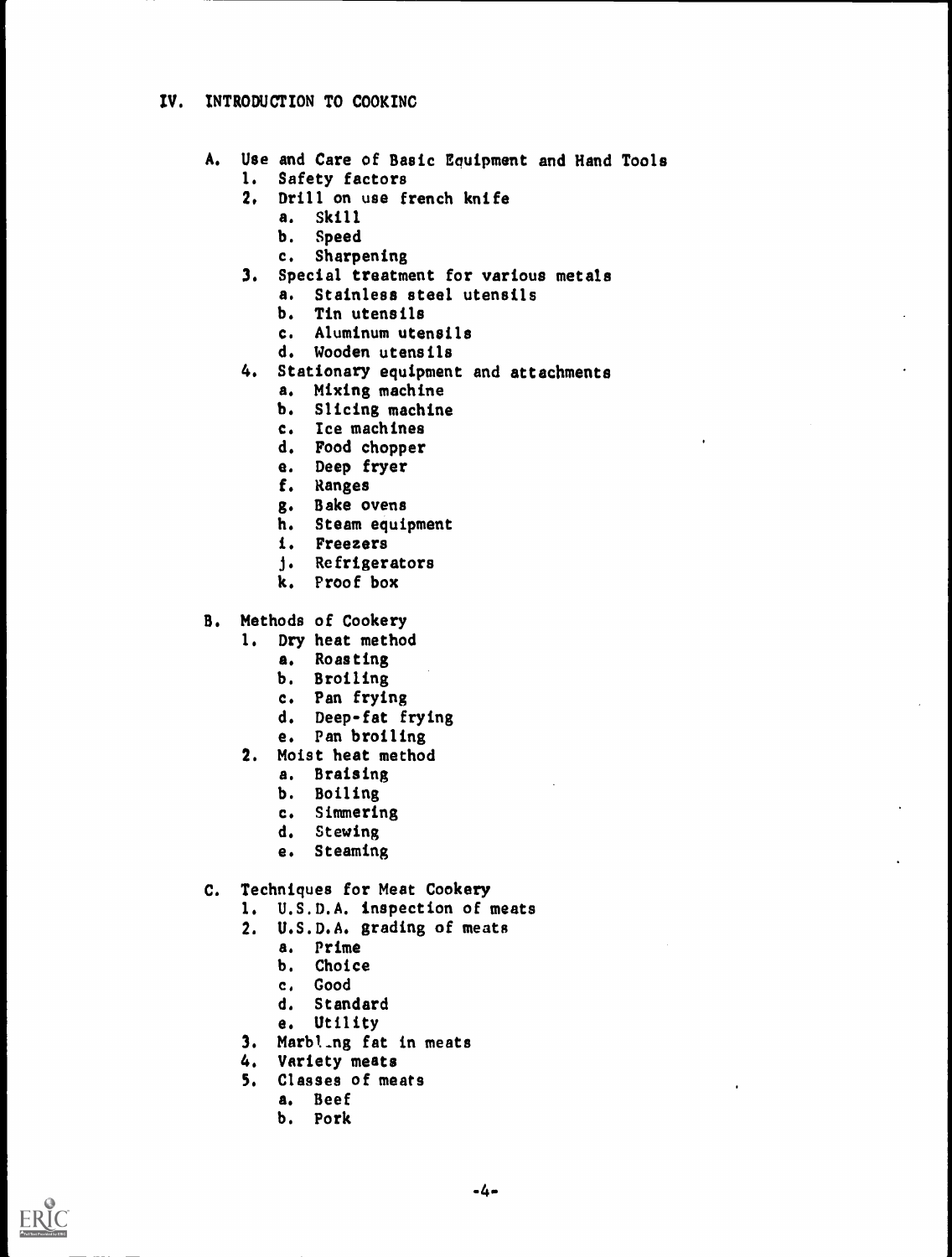# IV. INTRODUCTION TO COOKING

- A. Use and Care of Basic Equipment and Hand Tools 1. Safety factors
	-
	- 2. Drill on use french knife
		- a. Skill
		- b. Speed
		- c. Sharpening
	- 3. Special treatment for various metals
		- a. Stainless steel utensils
		- b. Tin utensils
		- c. Aluminum utensils
		- d. Wooden utensils
	- 4. Stationary equipment and attachments
		- a. Mixing machine
		- b. Slicing machine
		- c. Ice machines
		- d. Food chopper
		- e. Deep fryer
		- f. Ranges
		- g. Bake ovens
		- h. Steam equipment
		- i. Freezers
		- j. Refrigerators
		- k. Proof box
- B. Methods of Cookery
	- 1. Dry heat method
		- a. Roasting
		- b. Broiling
		- c. Pan frying
		- d. Deep-fat frying
		- e. Pan broiling
	- 2. Moist heat method
		- a. Braising
		- b. Boiling
		- c. Simmering
		- d. Stewing
		- e. Steaming
- C. Techniques for Meat Cookery
	- 1. U.S.D.A. inspection of meats
	- 2. U.S.D.A. grading of meats
		- a. Prime
		- b. Choice
		- c, Good
		- d. Standard
		- e. Utility
	- 3. Marbt\_ng fat in meats
	- 4. Variety meats
	- 5. Classes of meats
		- a. Beef
		- b. Pork

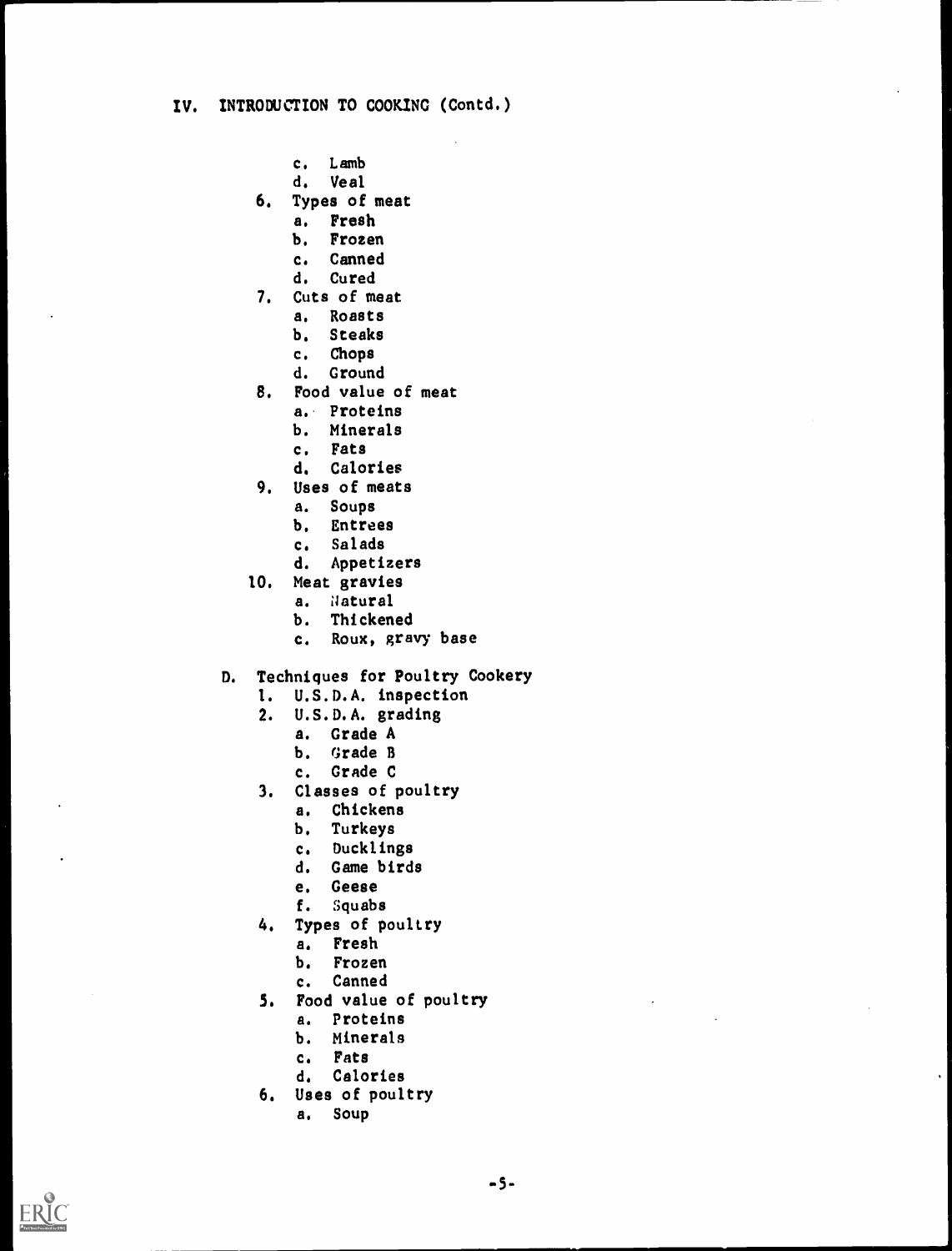- c. Lamb
- d. Veal
- 6. Types of meat
	- a. Fresh
		- b. Frozen
		- c. Canned
		- d. Cured
- 7. Cuts of meat
	- a. Roasts
		- b. Steaks
		- c. Chops
	- d. Ground
- 8. Food value of meat
	- a.. Proteins
	- b. Minerals
	- c. Fats
	- d. Calories
- 9, Uses of meats
	- a. Soups
	- b. Entrees
	- c. Salads
	- d. Appetizers
- 10. Meat gravies
	- a. Natural
	- b. Thickened
	- c. Roux, gravy base
- D. Techniques for Poultry Cookery
	- 1. U.S.D.A. inspection
	- 2. U.S.D.A. grading
		- a. Grade A
			- b. Grade B
			- c. Grade C
	- 3. Classes of poultry
		- a. Chickens
		- b. Turkeys
		- c. Ducklings
		- d, Game birds
		- e. Geese
		- f. Squabs
	- 4. Types of poultry
		- a. Fresh
		- b. Frozen
		- c. Canned
	- 5. Food value of poultry
		- a. Proteins
		- b. Minerals
		- c. Fats
		- d. Calories
	- 6. Uses of poultry
		- a. Soup

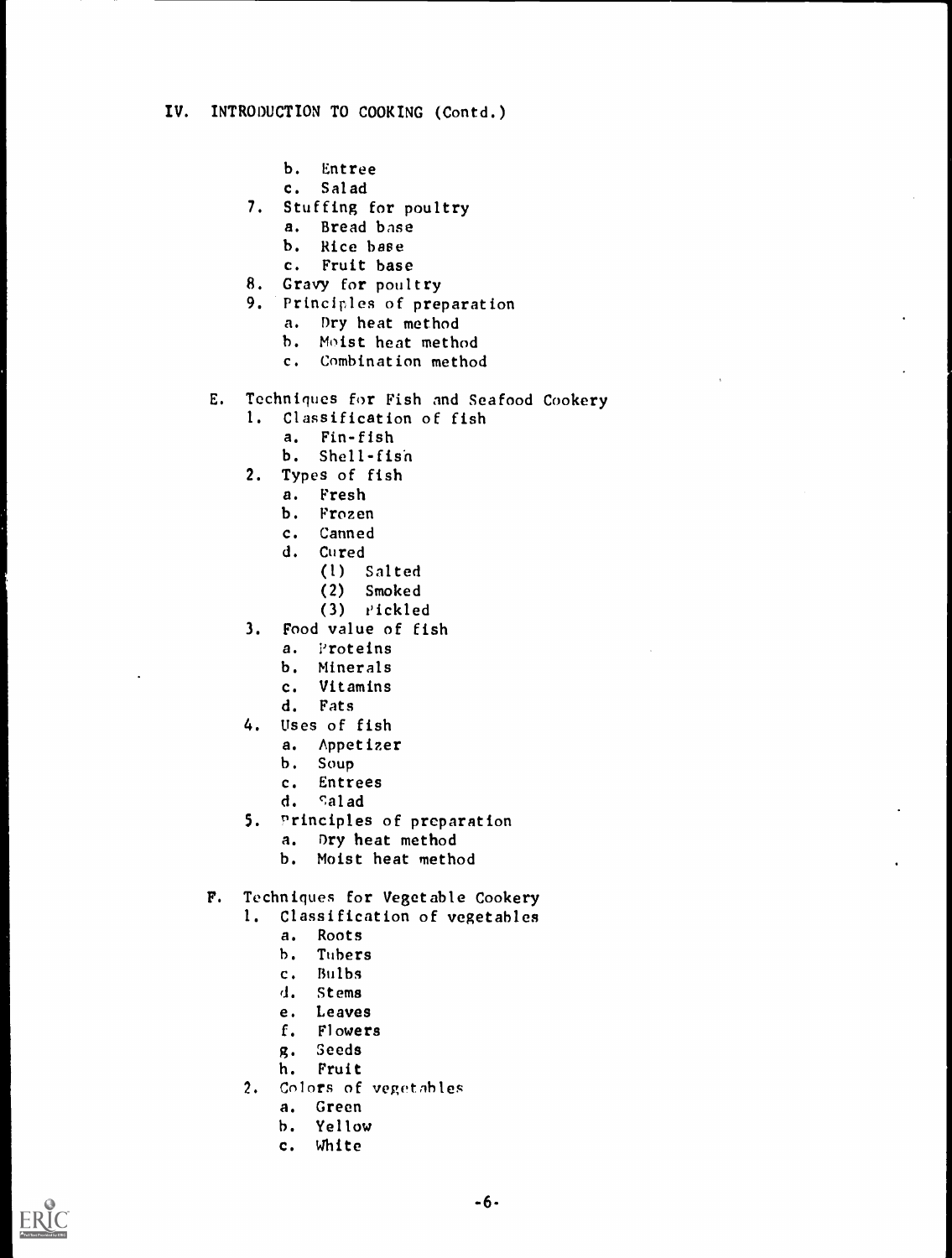- b. Entree
- c. Salad
- 7. Stuffing for poultry
	- a. Bread base
	- b. Rice base
	- c. Fruit base
- 8. Gravy for poultry
- 9. Principles of preparation
	- a. Dry heat method
	- h. Moist heat method
	- c. Combination method
- E. Techniques for Fish and Seafood Cookery
	- 1. Classification of fish
		- a. Fin-fish
		- b. Shell-fish
	- 2. Types of fish
		- a. Fresh
		- b. Frozen
		- c. Canned
		- d. Cured
			- (1) Salted
			- (2) Smoked
			- $(3)$   $i$ ckled
	- 3. Food value of fish
		- a. Proteins
		- b. Minerals
		- c. Vitamins
		- d. Fats
	- 4. Uses of fish
		- a. Appetizer
		- b. Soup
		- c. Entrees
		- d. salad
	- 5. "rinciples of preparation
		- a. Dry heat method
		- b. Moist heat method
- F. Techniques for Vegetable Cookery
	- 1. Classification of vegetables
		- a. Roots
		- h. Tubers
		- c. Bulbs
		- d. Stems
		- e. Leaves
		- f. Flowers
		- g. Seeds
		- h. Fruit
	- 2. Colors of vegetables
		- a. Green
		- h. Yellow
		- c. White

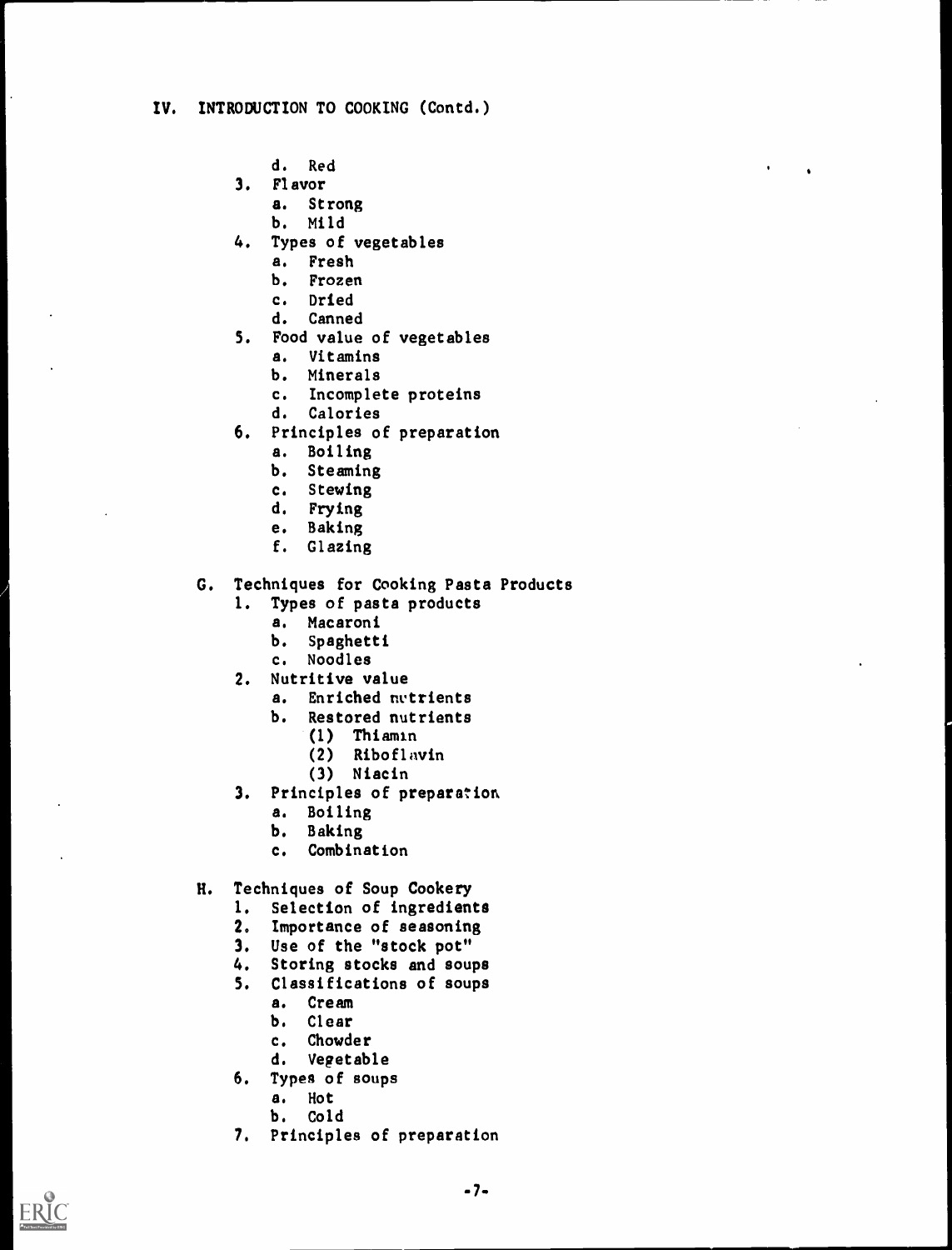- d. Red
- 3. Flavor
	- a. Strong
	- b. Mild
- 4. Types of vegetables
	- a. Fresh
	- b. Frozen
	- c. Dried
	- d. Canned
- 5. Food value of vegetables
	- a. Vitamins
	- b. Minerals
	- c. Incomplete proteins
	- d. Calories
- 6. Principles of preparation
	- a. Boiling
	- b. Steaming
	- c. Stewing<br>d. Frying
	- Frying
	- e. Baking
	- f. Glazing

G. Techniques for Cooking Pasta Products

- 1. Types of pasta products
	- a. Macaroni
	- b. Spaghetti
	- c. Noodles
- 2. Nutritive value
	- a. Enriched nutrients
	- b. Restored nutrients
		- (I) Thiamin
		- (2) Riboflavin
		- (3) Niacin
- 3. Principles of preparation
	- a. Boiling
	- b. Baking
	- c. Combination
- H. Techniques of Soup Cookery
	- I. Selection of ingredients
	- 2. Importance of seasoning
	- 3. Use of the "stock pot"
	- 4. Storing stocks and soups
	- 5. Classifications of soups
		- a. Cream
		- b. Clear
		- c. Chowder
		- d. Vegetable
	- 6. Types of soups
		- a. Hot
		- b. Cold
	- 7. Principles of preparation

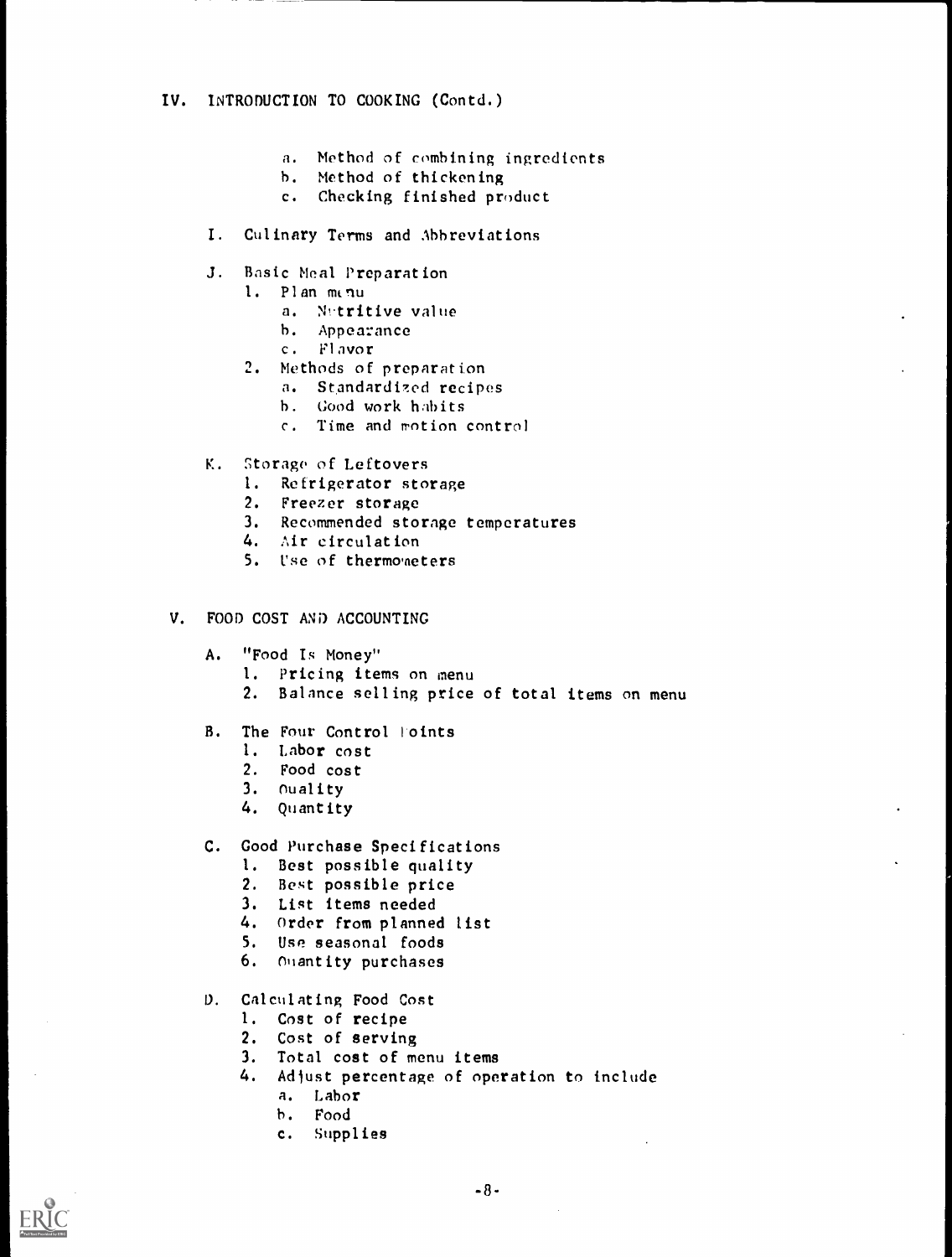- a. Method of combining ingredients
- h. Method of thickening
- c. Checking finished product
- I. Culinary Terms and Abbreviations
- J. Basic Meal Preparation
	- 1. Plan minu
		- a. Netritive value
		- h. Appearance
		- c. Flavor
	- 2. Methods of preparation
		- a. Standardized recipes
		- h. Good work habits
		- c. Time and motion control
- K. Storage of Leftovers
	- I. Refrigerator storage
	- 2. Freezer storage
	- 3. Recommended storage temperatures
	- 4. Air circulation
	- 5. Use of thermo'neters

### V. FOOD COST AND ACCOUNTING

- A. "Food Is Money"
	- 1. Pricing items on menu
	- 2. Balance selling price of total items on menu
- B. The Four Control Foints
	- 1. Labor cost
	- 2. Food cost
	- 3. Ouality
	- 4. Quantity
- C. Good Purchase Specifications
	- 1. Best possible quality
	- 2. Best possible price
	- 3. List items needed
	- 4. Order from planned list
	- 5. Use seasonal foods
	- 6. Quantity purchases
- 0. Calculating Food Cost
	- 1. Cost of recipe
	- 2. Cost of serving
	- 3. Total cost of menu items
	- 4. Adjust percentage of operation to include
		- a. Labor
		- b. Food
		- c. Supplies

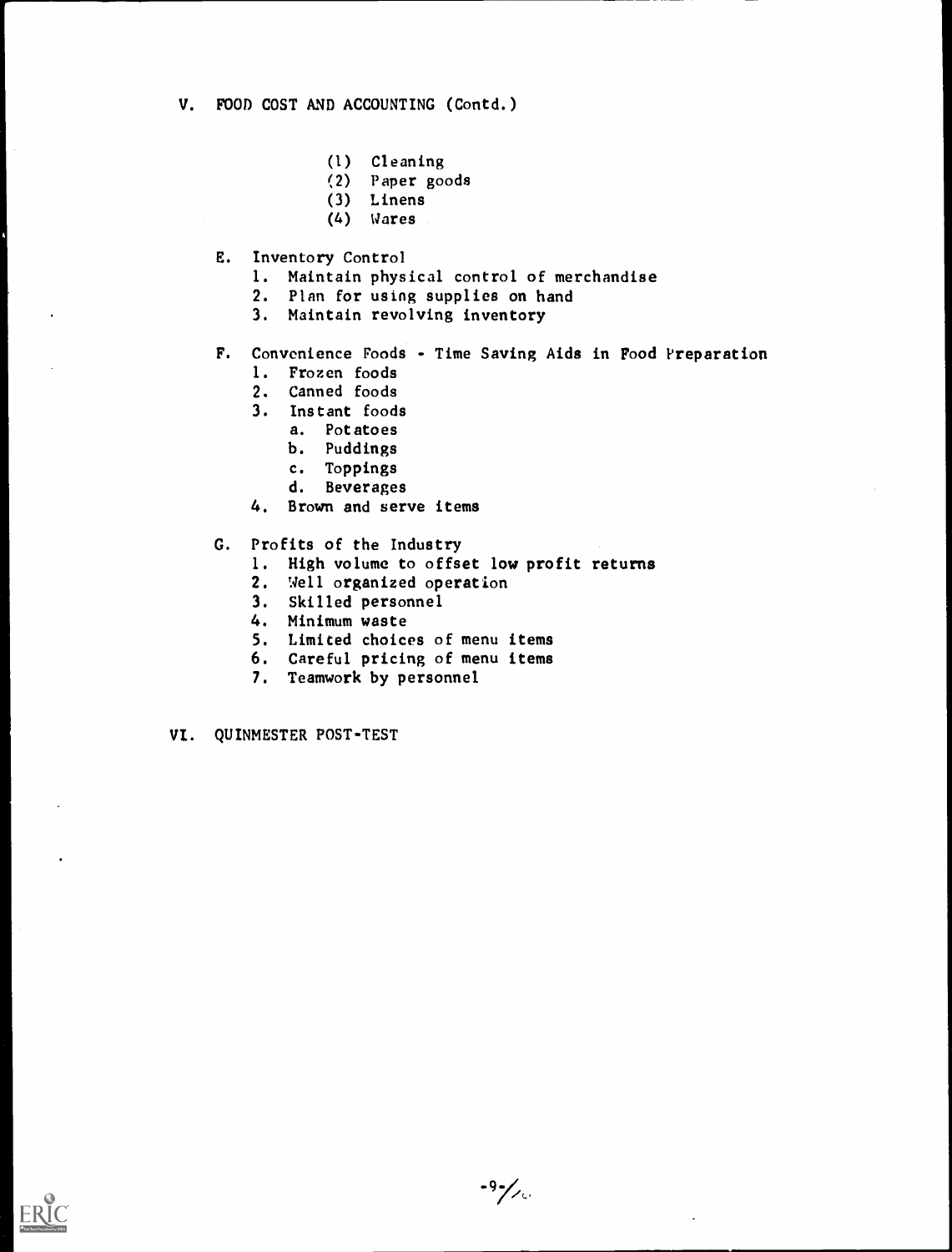- (1) Cleaning
- (2) Paper goods
- (3) Linens
- (4) Wares
- E. Inventory Control
	- I. Maintain physical control of merchandise
	- 2. Plan for using supplies on hand
	- 3. Maintain revolving inventory
- F. Convenience Foods Time Saving Aids in Food Preparation
	- I. Frozen foods
	- 2. Canned foods
	- 3. Instant foods
		- a. Potatoes
		- b. Puddings
		- c. Toppings
		- d. Beverages
	- 4. Brown and serve items
- G. Profits of the Industry
	- 1. High volume to offset low profit returns
	- 2. Well organized operation
	- 3. Skilled personnel
	- 4. Minimum waste
	- 5. Limited choices of menu items
	- 6. Careful pricing of menu items
	- 7. Teamwork by personnel
- VI. QUINMESTER POST-TEST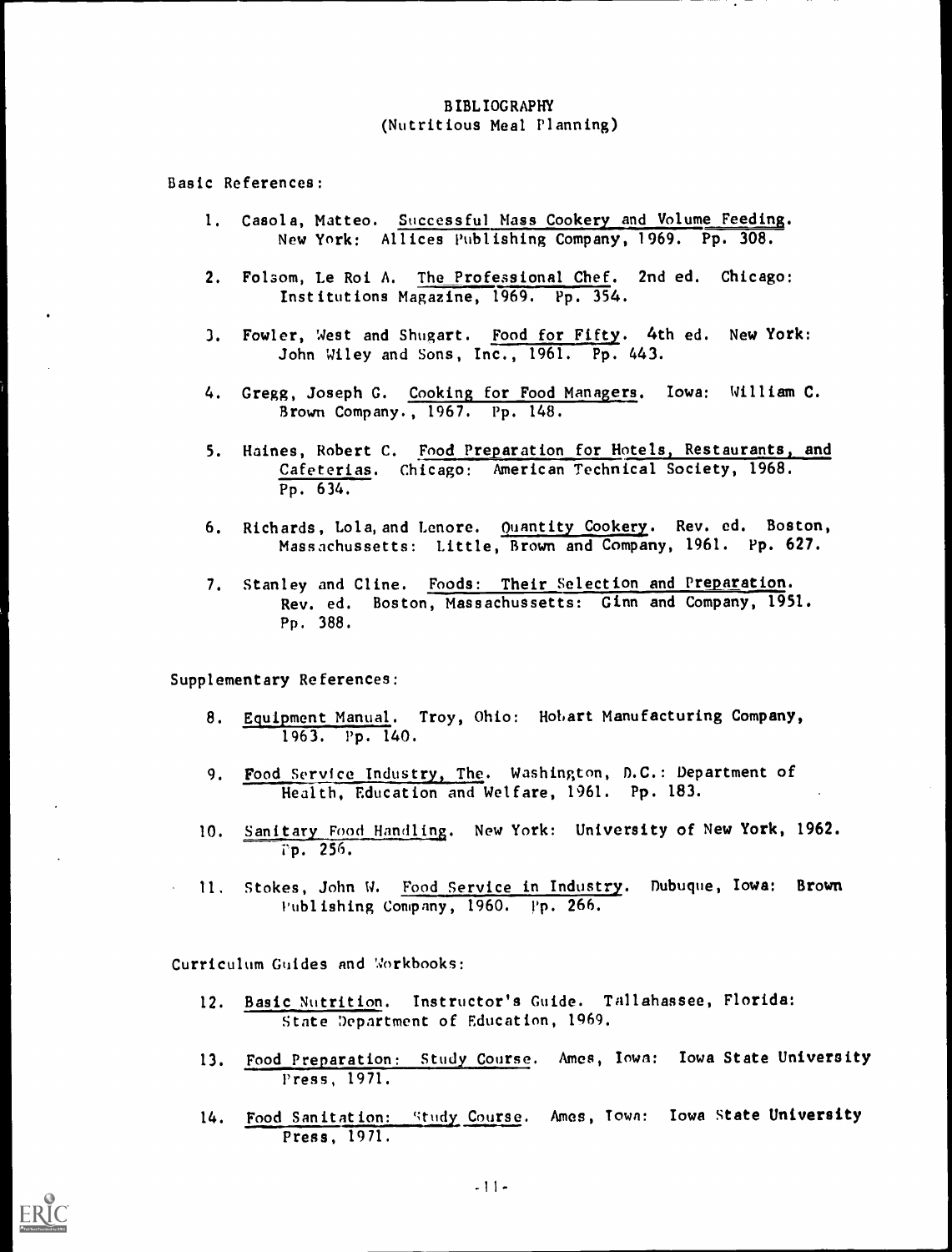# BIBLIOGRAPHY (Nutritious Meal Planning)

Basic References:

- 1. Casola, Matteo. Successful Mass Cookery and Volume Feeding. New York: Allices Publishing Company, 1969. Pp. 308.
- 2. Folsom, Le Roi A. The Professional Chef. 2nd ed. Chicago: Institutions Magazine, 1969. Pp. 354.
- 3. Fowler, West and Shugart. Food for Fifty. 4th ed. New York: John Wiley and Sons, Inc., 1961. Pp. 443.
- 4. Gregg, Joseph G. Cooking for Food Managers. Iowa: William C. Brown Company., 1967. Pp. 148.
- 5. Haines, Robert C. Food Preparation for Hotels, Restaurants, and Cafeterias. Chicago: American Technical Society, 1968. Pp. 634.
- 6. Richards, Lola, and Lenore. Quantity Cookery. Rev. ed. Boston, Massachussetts: Little, Brown and Company, 1961. Pp. 627.
- 7. Stanley and Cline. Foods: Their Selection and Preparation. Rev. ed. Boston, Massachussetts: Ginn and Company, 1951. Pp. 388.

Supplementary References:

- 8. Equipment Manual. Troy, Ohio: Hobart Manufacturing Company, 1963. Pp. 140.
- 9. Food Service Industry, The. Washington, D.C.: Department of Health, Education and Welfare, 1961. Pp. 183.
- 10. Sanitary Food Handling. New York: University of New York, 1962. rp. 256.
- 11, Stokes, John W. Food Service in Industry. Dubuque, Iowa: Brown Publishing Company, 1960. Pp. 266.

Curriculum Guides and Workbooks:

- 12. Basic Nutrition. Instructor's Guide. Tallahassee, Florida: State Department of Education, 1969.
- 13. Food Preparation: Study Course. Ames, Iowa: Iowa State University Press, 1971.
- 14. Food Sanitation: Study Course. Ames, Town: Iowa State University Press, 1971.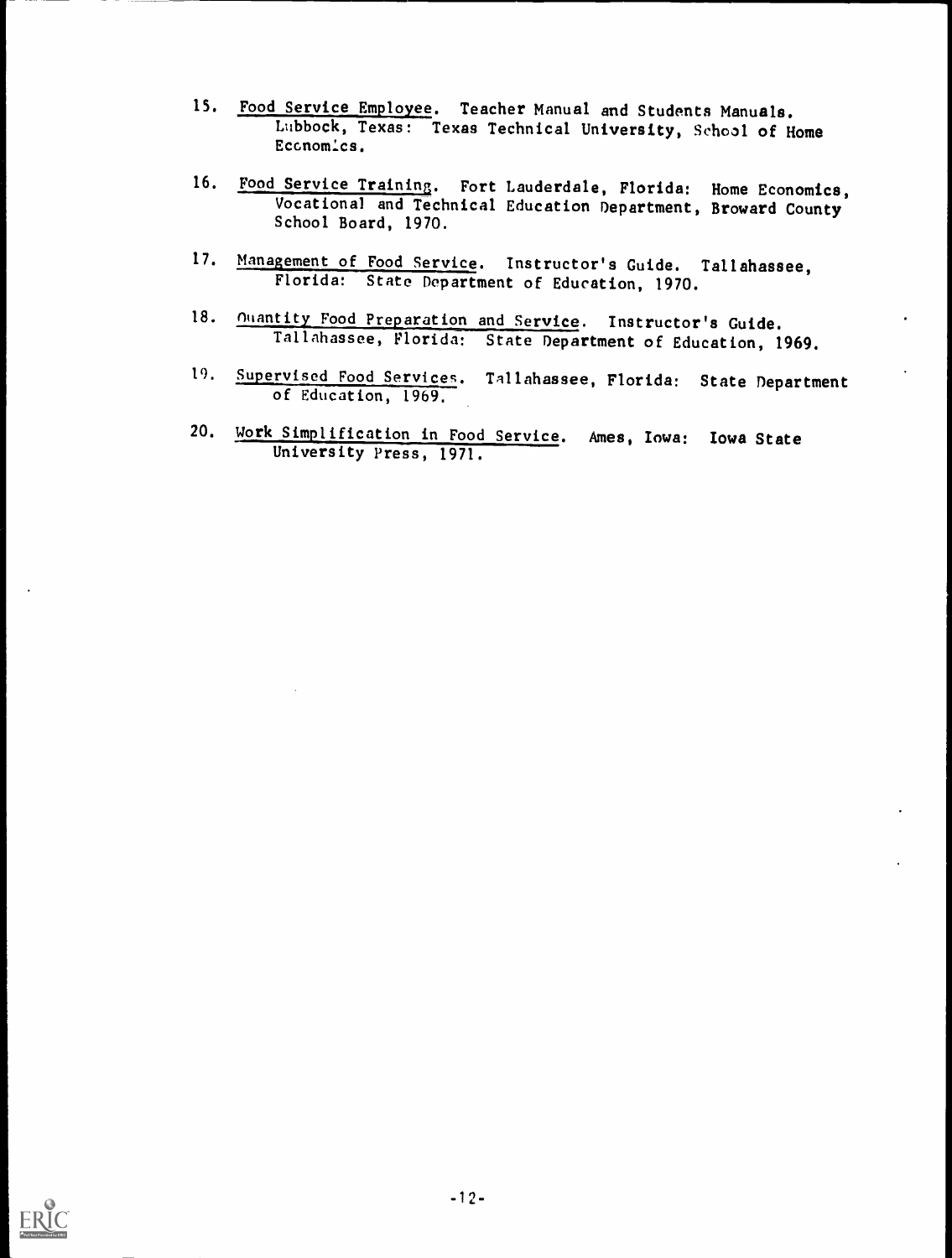- 15. Food Service Employee. Teacher Manual and Students Manuals. Lubbock, Texas: Texas Technical University, School of Home Eccnomics.
- 16. Food Service Training. Fort Lauderdale, Florida: Home Economics, Vocational and Technical Education Department, Broward County School Board, 1970.
- 17. Management of Food Service. Instructor's Guide. Tallahassee, Florida: State Department of Education, 1970.
- 18. **Muantity Food Preparation and Service**. Instructor's Guide. Tallahassee, Florida: State Department of Education, 1969.
- 19. Supervised Food Services. Tallahassee, Florida: State Department of Education, 1969,
- 20. Work Simplification in Food Service. Ames, Iowa: Iowa State University Press, 1971.

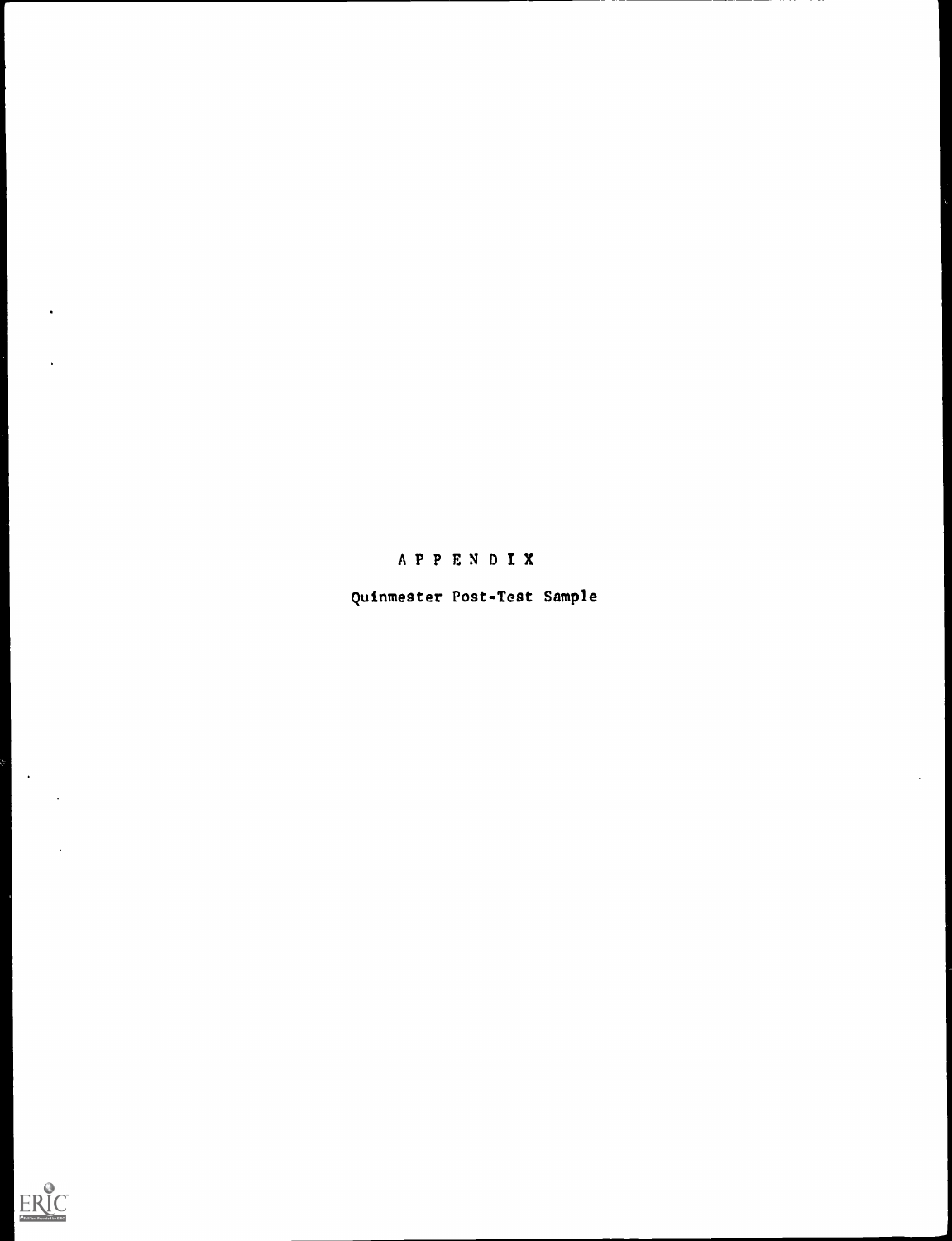

 $\left\{ \begin{array}{c} 0 \\ 0 \\ 0 \end{array} \right.$ 

 $\sim 10^{-10}$ 

 $\ddot{\phantom{0}}$ 

 $\ddot{\phantom{a}}$ 

Quinmester Post-Test Sample

 $\ddot{\phantom{a}}$ 

APPENDIX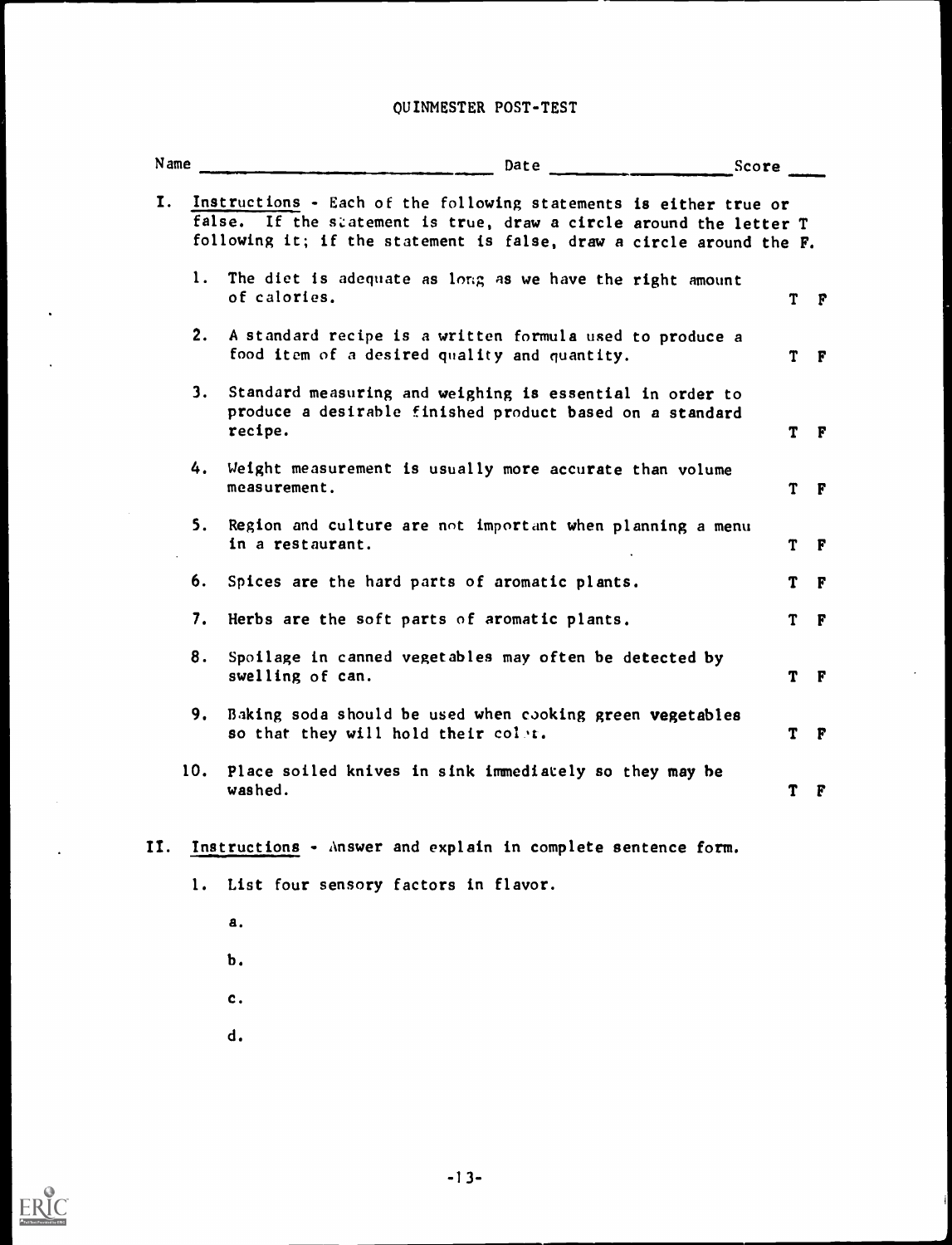# OUINMESTER POST-TEST

| N ame | Date                                                                                                                                                                                                            | Score |    |              |
|-------|-----------------------------------------------------------------------------------------------------------------------------------------------------------------------------------------------------------------|-------|----|--------------|
|       | Instructions - Each of the following statements is either true or<br>false. If the statement is true, draw a circle around the letter T<br>following it; if the statement is false, draw a circle around the F. |       |    |              |
|       | 1. The diet is adequate as long as we have the right amount<br>of calories.                                                                                                                                     |       | T  | F            |
| 2.    | A standard recipe is a written formula used to produce a<br>food item of a desired quality and quantity.                                                                                                        |       | T. | $\mathbf{F}$ |
| 3.    | Standard measuring and weighing is essential in order to<br>produce a desirable finished product based on a standard<br>recipe.                                                                                 |       | T  | F            |
| 4.    | Weight measurement is usually more accurate than volume<br>measurement.                                                                                                                                         |       | T. | F            |
| 5.    | Region and culture are not important when planning a menu<br>in a restaurant.                                                                                                                                   |       | T  | F            |
| 6.    | Spices are the hard parts of aromatic plants.                                                                                                                                                                   |       | T  | F            |
| 7.    | Herbs are the soft parts of aromatic plants.                                                                                                                                                                    |       | T. | F            |
| 8.    | Spoilage in canned vegetables may often be detected by<br>swelling of can.                                                                                                                                      |       | T  | F            |
| 9.    | Baking soda should be used when cooking green vegetables<br>so that they will hold their colst.                                                                                                                 |       | т  | F            |
| 10.   | Place soiled knives in sink immediately so they may be<br>washed.                                                                                                                                               |       | Т  | F            |
|       | Instructions - Answer and explain in complete sentence form.<br>1. List four sensory factors in flavor.                                                                                                         |       |    |              |
|       |                                                                                                                                                                                                                 |       |    |              |
|       | а.                                                                                                                                                                                                              |       |    |              |

- b.
- c.
- d.

 $\ddot{\phantom{0}}$ 

 $\hat{\phantom{a}}$ 

 $\ddot{\phantom{a}}$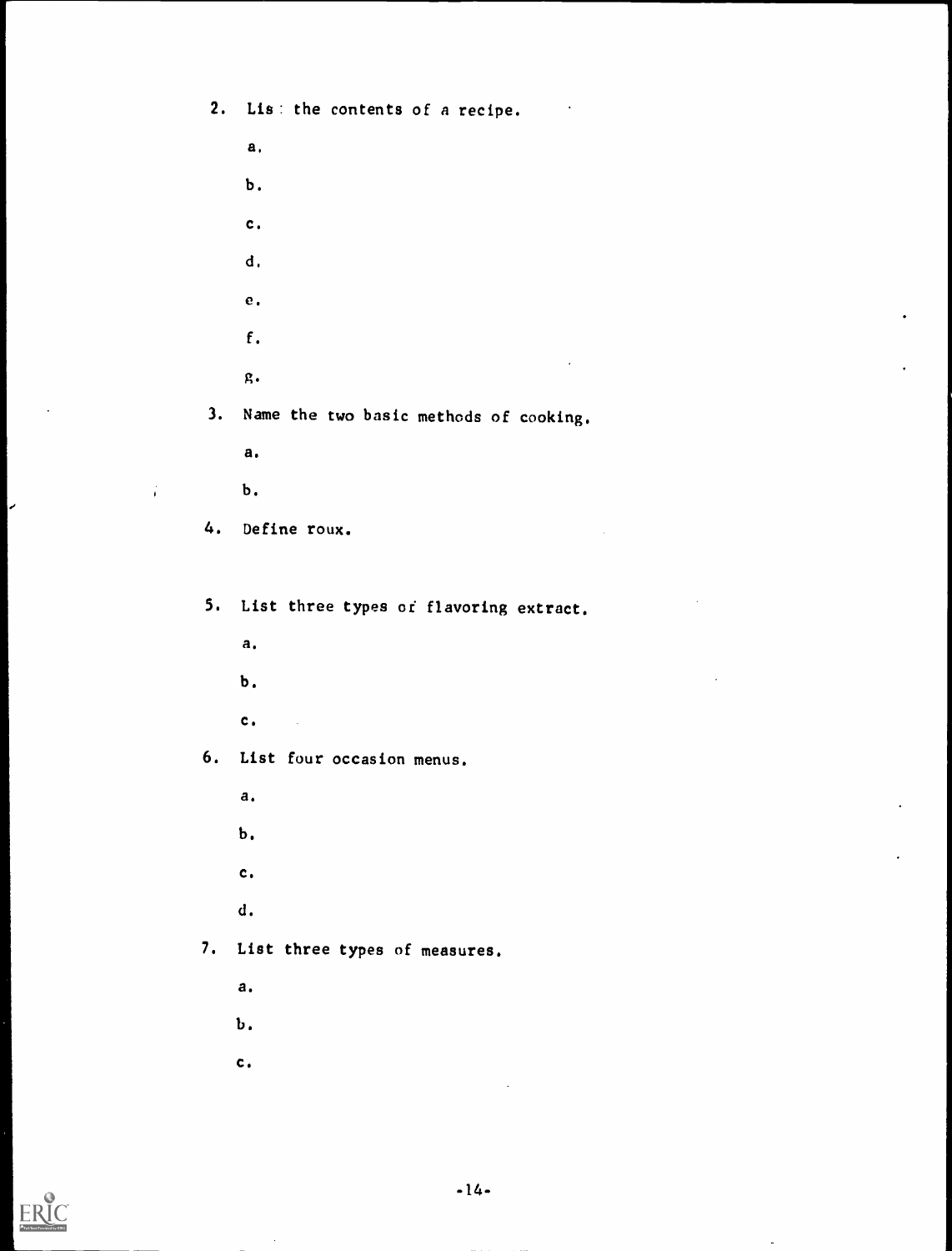2. Lis: the contents of a recipe.

a,b. c. cl, e. f. g. 3. Name the two basic methods of cooking. a.

b.

4. Define roux.

5. List three types of flavoring extract.

a.

b.

c.

6. List four occasion menus.

a.

b.

c.

d.

7. List three types of measures.

a.

b.

C.

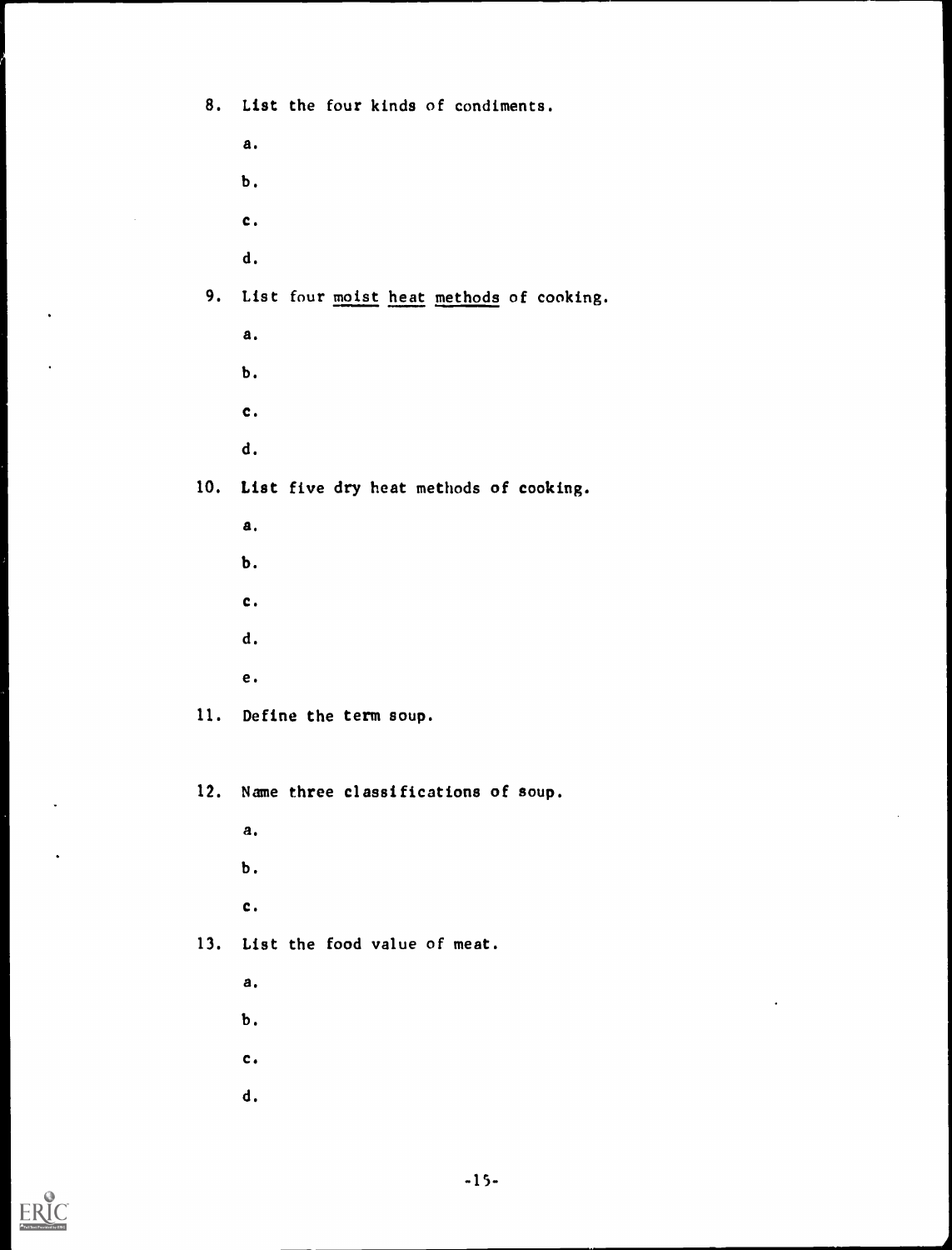8. List the four kinds of condiments.

a. b. c. d. 9. List four moist heat methods of cooking. a.b. c.d. 10. List five dry heat methods of cooking. a.b. c.d.e. 11. Define the term soup. 12. Name three classifications of soup. a. b. c.

13. List the food value of meat.

a.

b.

c.

d.



 $\bullet$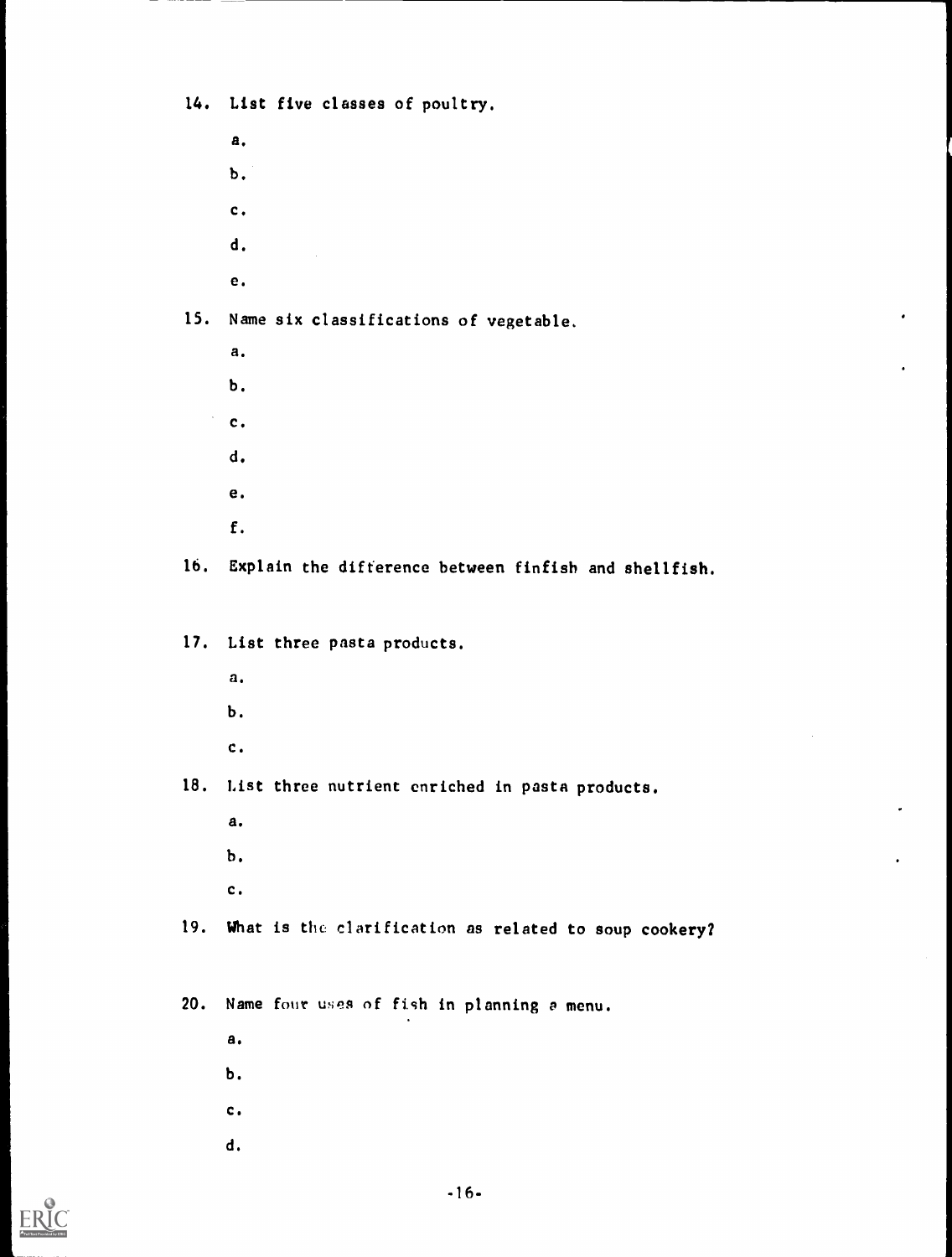14. List five classes of poultry.

| а. |  |  |
|----|--|--|
| Ъ. |  |  |
| c. |  |  |
| d. |  |  |
| e. |  |  |
|    |  |  |

15. Name six classifications of vegetable.

| а. |  |  |
|----|--|--|
| Ъ. |  |  |
| c. |  |  |
| d. |  |  |
| e. |  |  |
| f. |  |  |

16. Explain the difference between finfish and shellfish.

17. List three pasta products.

- a.
- b.
- c.

18. List three nutrient enriched in pasta products.

- a.
- b.
- c.

19. What is the clarification as related to soup cookery?

20. Name four uses of fish in planning a menu.

- a.
- b.
- c.
- d.

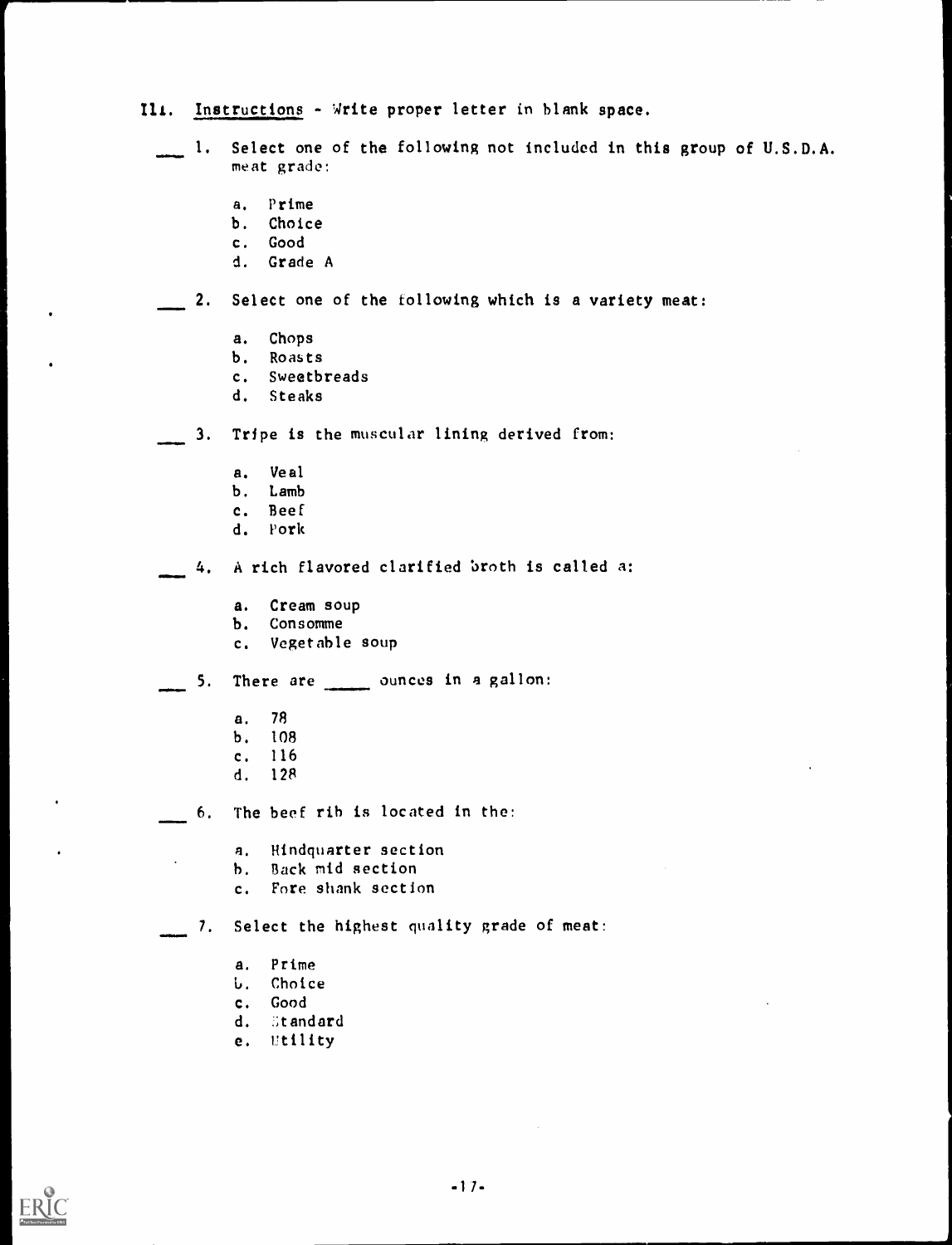# Ili. Instructions - Write proper letter in blank space.

- 1. Select one of the following not included in this group of U.S.D.A. meat grade:
	- a. Prime
	- b. Choice
	- c. Good
	- d. Grade A

# 2. Select one of the following which is a variety meat:

- a. Chops
- b. Roasts
- c. Sweetbreads
- d. Steaks
- 3. Tripe is the muscular lining derived from:
	- a. Veal
	- b. Lamb
	- c. Beef
	- d. Pork
	- 4. A rich flavored clarified broth is called a:
		- a. Cream soup
		- b. Consomme
		- c. Vegetable soup

 $\sim$  5. There are  $\sim$  ounces in a gallon:

- a. 78
- b. 108
- c. 116
- d. 128

4<del>1111111111</del>

- 6. The beef rib is located in the:
	- a. Hindquarter section
	- b. Back mid section
	- c. Fore shank section

7. Select the highest quality grade of meat:

- a. Prime
- j. Choice
- c. Good
- d. Standard
- e. Utility

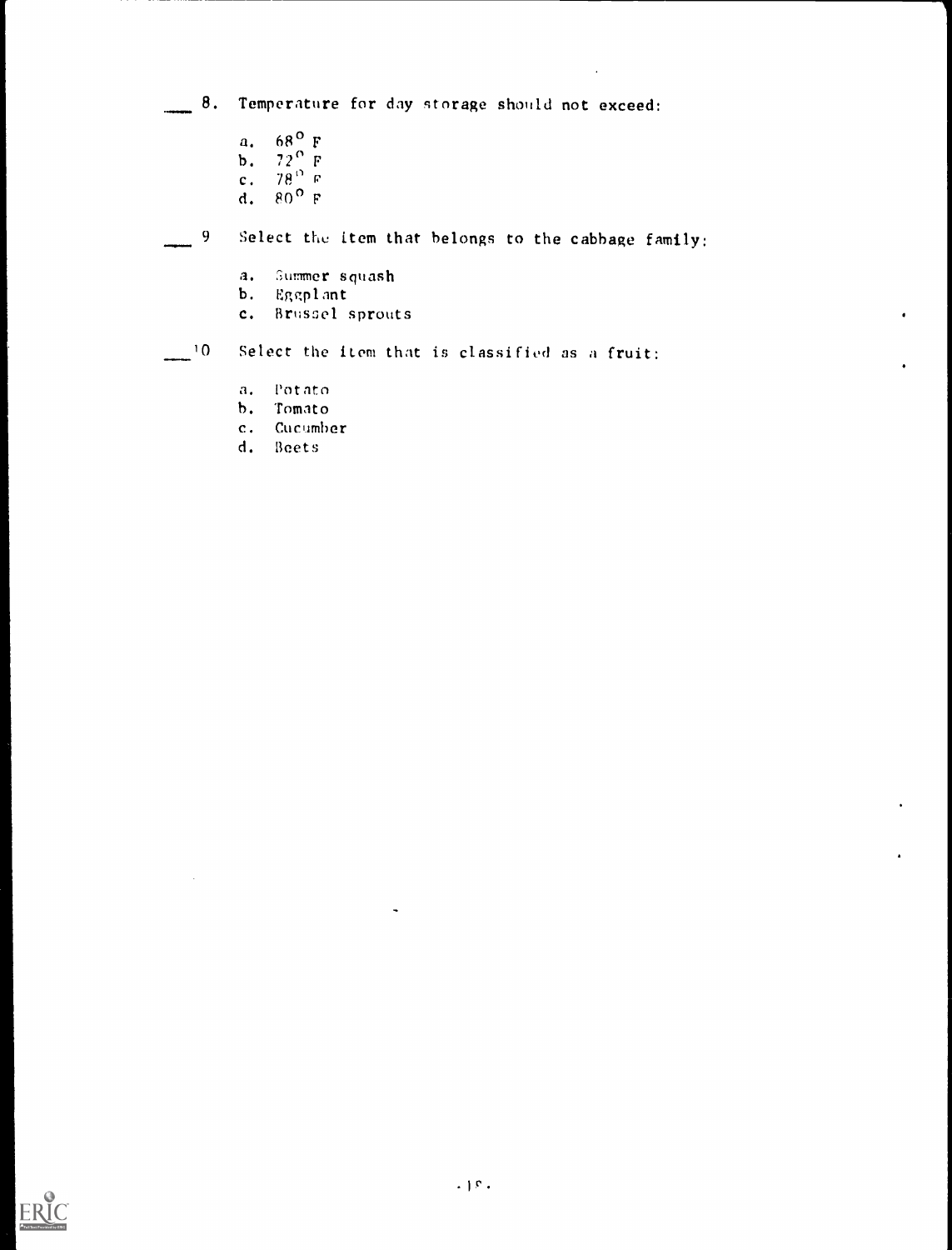8. Temperature for day storage should not exceed:

- a. 68° F
- **b.**  $72^{\circ}$  F
- c.  $78^{\circ}$  P
- d. 80 °F

59 Select the item that belongs to the cabbage family:

- a. Summer squash
- b. Eggplant
- c. Brusoel sprouts

10 Select the item that is classified as a fruit:

- a. Potato
- h. Tomato
- c. Cucumber
- d. Beets

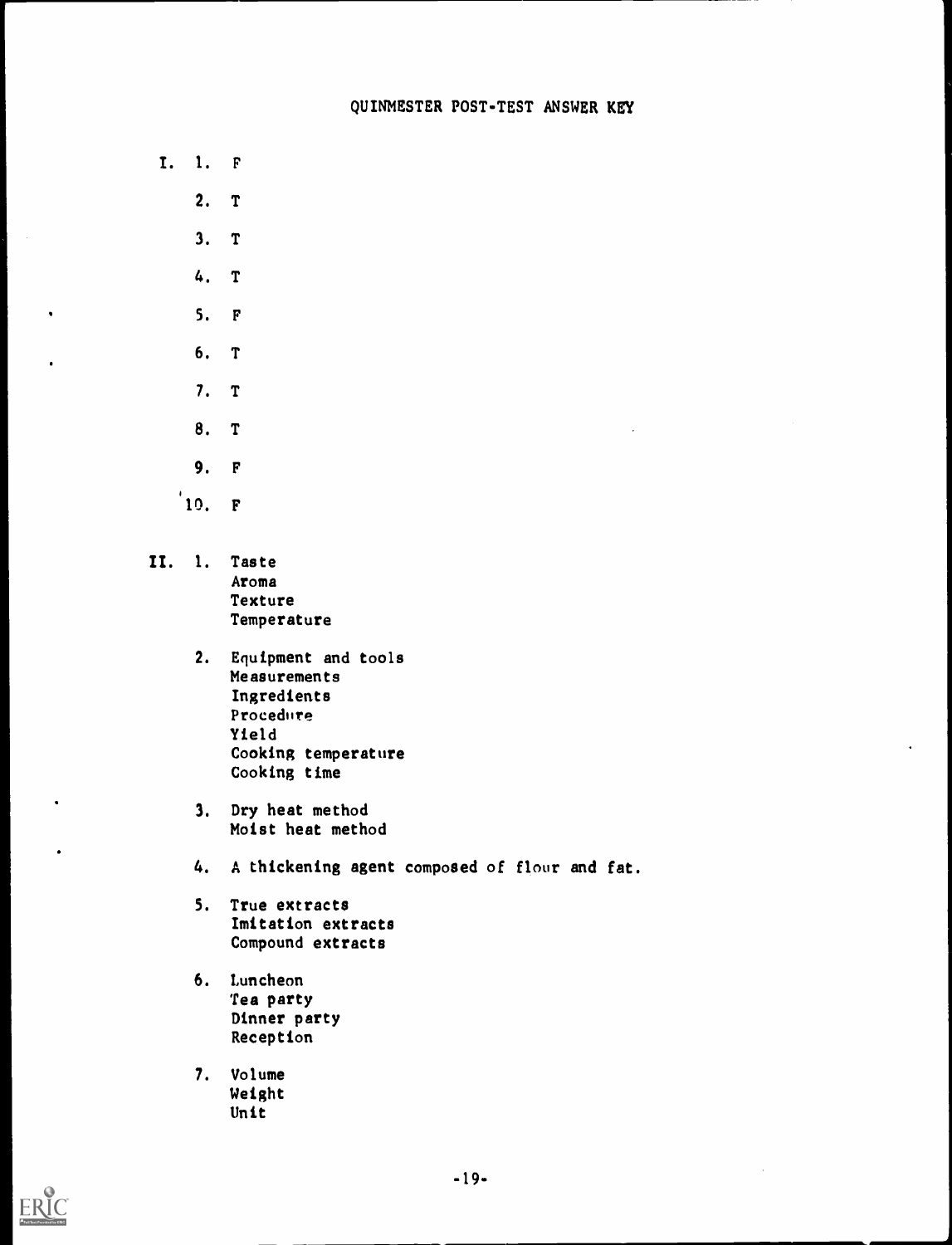- I. I. F
	- 2. T
		- 3. T
	- 4. T
	- 5. F

 $\bullet$ 

- 6. T
- 7. T
- 8. T
- 9. F
- '10. F
- II. I. Taste Aroma Texture Temperature
	- 2. Equipment and tools Measurements Ingredients Procedure Yield Cooking temperature Cooking time
	- 3. Dry heat method Moist heat method
	- 4. A thickening agent composed of flour and fat.
	- 5. True extracts Imitation extracts Compound extracts
	- 6. Luncheon Tea party Dinner party Reception
	- 7. Volume Weight Unit



 $\bullet$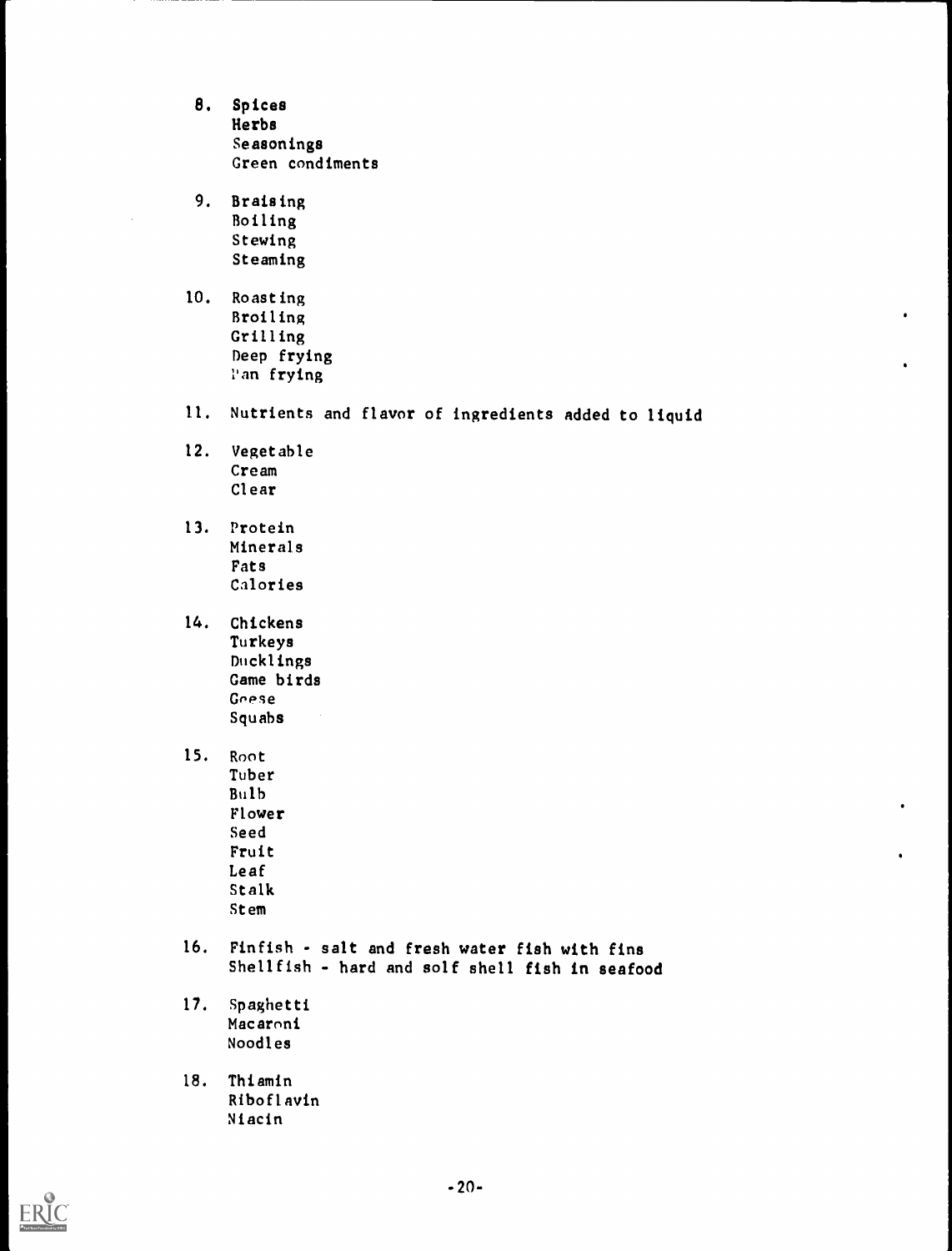- 8. Spices Herbs Seasonings Green condiments
- 9. Braising Boiling Stewing Steaming
- 10. Roasting Broiling Grilling Deep frying Pan frying
- 11. Nutrients and flavor of ingredients added to liquid
- 12. Vegetable Cream Clear
- 13. Protein Minerals Fats Calories
- 14. Chickens Turkeys Ducklings Game birds Geese Squabs
- 15. Root Tuber Bulb Flower Seed Fruit Leaf Stalk Stem
- 16. Finfish salt and fresh water fish with fins Shellfish - hard and solf shell fish in seafood
- 17. Spaghetti Macaroni Noodles
- 18. Thiamin Riboflavin Niacin